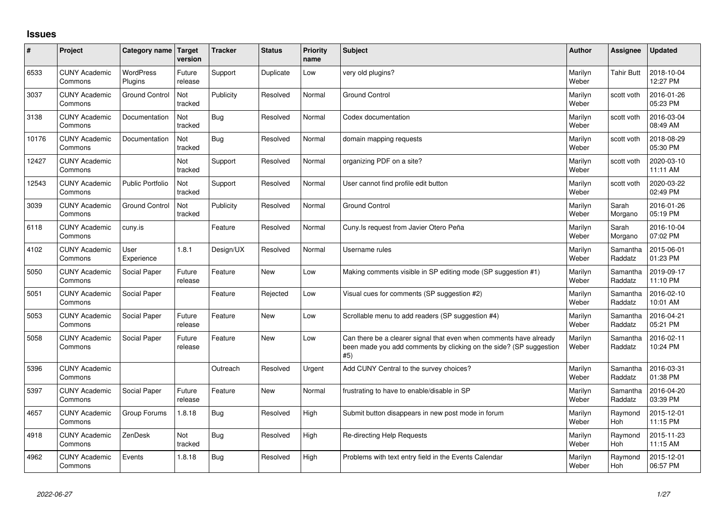## **Issues**

| ∦     | Project                         | Category name               | Target<br>version | <b>Tracker</b> | <b>Status</b> | <b>Priority</b><br>name | <b>Subject</b>                                                                                                                                  | Author           | Assignee              | <b>Updated</b>         |
|-------|---------------------------------|-----------------------------|-------------------|----------------|---------------|-------------------------|-------------------------------------------------------------------------------------------------------------------------------------------------|------------------|-----------------------|------------------------|
| 6533  | <b>CUNY Academic</b><br>Commons | <b>WordPress</b><br>Plugins | Future<br>release | Support        | Duplicate     | Low                     | very old plugins?                                                                                                                               | Marilyn<br>Weber | <b>Tahir Butt</b>     | 2018-10-04<br>12:27 PM |
| 3037  | <b>CUNY Academic</b><br>Commons | <b>Ground Control</b>       | Not<br>tracked    | Publicity      | Resolved      | Normal                  | <b>Ground Control</b>                                                                                                                           | Marilyn<br>Weber | scott voth            | 2016-01-26<br>05:23 PM |
| 3138  | <b>CUNY Academic</b><br>Commons | Documentation               | Not<br>tracked    | <b>Bug</b>     | Resolved      | Normal                  | Codex documentation                                                                                                                             | Marilyn<br>Weber | scott voth            | 2016-03-04<br>08:49 AM |
| 10176 | <b>CUNY Academic</b><br>Commons | Documentation               | Not<br>tracked    | <b>Bug</b>     | Resolved      | Normal                  | domain mapping requests                                                                                                                         | Marilyn<br>Weber | scott voth            | 2018-08-29<br>05:30 PM |
| 12427 | <b>CUNY Academic</b><br>Commons |                             | Not<br>tracked    | Support        | Resolved      | Normal                  | organizing PDF on a site?                                                                                                                       | Marilyn<br>Weber | scott voth            | 2020-03-10<br>11:11 AM |
| 12543 | <b>CUNY Academic</b><br>Commons | <b>Public Portfolio</b>     | Not<br>tracked    | Support        | Resolved      | Normal                  | User cannot find profile edit button                                                                                                            | Marilyn<br>Weber | scott voth            | 2020-03-22<br>02:49 PM |
| 3039  | <b>CUNY Academic</b><br>Commons | <b>Ground Control</b>       | Not<br>tracked    | Publicity      | Resolved      | Normal                  | <b>Ground Control</b>                                                                                                                           | Marilyn<br>Weber | Sarah<br>Morgano      | 2016-01-26<br>05:19 PM |
| 6118  | <b>CUNY Academic</b><br>Commons | cuny.is                     |                   | Feature        | Resolved      | Normal                  | Cuny. Is request from Javier Otero Peña                                                                                                         | Marilyn<br>Weber | Sarah<br>Morgano      | 2016-10-04<br>07:02 PM |
| 4102  | <b>CUNY Academic</b><br>Commons | User<br>Experience          | 1.8.1             | Design/UX      | Resolved      | Normal                  | Username rules                                                                                                                                  | Marilyn<br>Weber | Samantha<br>Raddatz   | 2015-06-01<br>01:23 PM |
| 5050  | <b>CUNY Academic</b><br>Commons | Social Paper                | Future<br>release | Feature        | <b>New</b>    | Low                     | Making comments visible in SP editing mode (SP suggestion #1)                                                                                   | Marilyn<br>Weber | Samantha<br>Raddatz   | 2019-09-17<br>11:10 PM |
| 5051  | <b>CUNY Academic</b><br>Commons | Social Paper                |                   | Feature        | Rejected      | Low                     | Visual cues for comments (SP suggestion #2)                                                                                                     | Marilyn<br>Weber | Samantha<br>Raddatz   | 2016-02-10<br>10:01 AM |
| 5053  | <b>CUNY Academic</b><br>Commons | Social Paper                | Future<br>release | Feature        | <b>New</b>    | Low                     | Scrollable menu to add readers (SP suggestion #4)                                                                                               | Marilyn<br>Weber | Samantha<br>Raddatz   | 2016-04-21<br>05:21 PM |
| 5058  | <b>CUNY Academic</b><br>Commons | Social Paper                | Future<br>release | Feature        | <b>New</b>    | Low                     | Can there be a clearer signal that even when comments have already<br>been made you add comments by clicking on the side? (SP suggestion<br>#5) | Marilyn<br>Weber | Samantha<br>Raddatz   | 2016-02-11<br>10:24 PM |
| 5396  | <b>CUNY Academic</b><br>Commons |                             |                   | Outreach       | Resolved      | Urgent                  | Add CUNY Central to the survey choices?                                                                                                         | Marilyn<br>Weber | Samantha<br>Raddatz   | 2016-03-31<br>01:38 PM |
| 5397  | <b>CUNY Academic</b><br>Commons | Social Paper                | Future<br>release | Feature        | <b>New</b>    | Normal                  | frustrating to have to enable/disable in SP                                                                                                     | Marilyn<br>Weber | Samantha<br>Raddatz   | 2016-04-20<br>03:39 PM |
| 4657  | <b>CUNY Academic</b><br>Commons | Group Forums                | 1.8.18            | <b>Bug</b>     | Resolved      | High                    | Submit button disappears in new post mode in forum                                                                                              | Marilyn<br>Weber | Raymond<br><b>Hoh</b> | 2015-12-01<br>11:15 PM |
| 4918  | <b>CUNY Academic</b><br>Commons | ZenDesk                     | Not<br>tracked    | <b>Bug</b>     | Resolved      | High                    | Re-directing Help Requests                                                                                                                      | Marilyn<br>Weber | Raymond<br>Hoh        | 2015-11-23<br>11:15 AM |
| 4962  | <b>CUNY Academic</b><br>Commons | Events                      | 1.8.18            | <b>Bug</b>     | Resolved      | High                    | Problems with text entry field in the Events Calendar                                                                                           | Marilyn<br>Weber | Raymond<br>Hoh        | 2015-12-01<br>06:57 PM |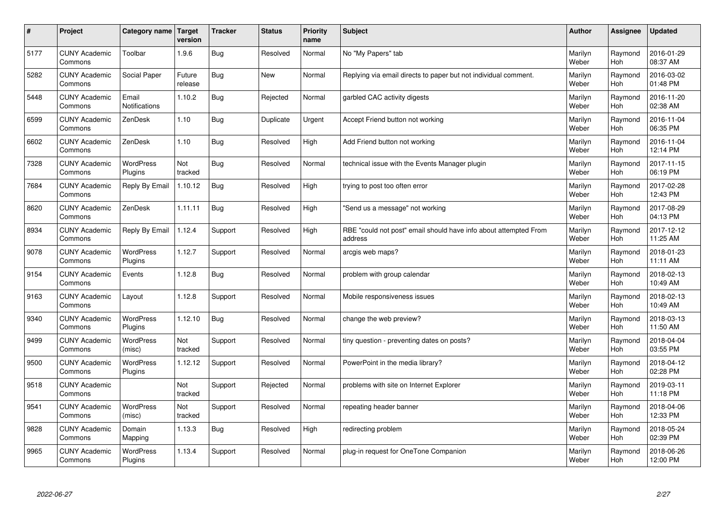| $\sharp$ | Project                         | Category name   Target        | version           | <b>Tracker</b> | <b>Status</b> | <b>Priority</b><br>name | <b>Subject</b>                                                              | <b>Author</b>    | <b>Assignee</b>       | <b>Updated</b>         |
|----------|---------------------------------|-------------------------------|-------------------|----------------|---------------|-------------------------|-----------------------------------------------------------------------------|------------------|-----------------------|------------------------|
| 5177     | <b>CUNY Academic</b><br>Commons | Toolbar                       | 1.9.6             | Bug            | Resolved      | Normal                  | No "My Papers" tab                                                          | Marilyn<br>Weber | Raymond<br><b>Hoh</b> | 2016-01-29<br>08:37 AM |
| 5282     | <b>CUNY Academic</b><br>Commons | Social Paper                  | Future<br>release | Bug            | <b>New</b>    | Normal                  | Replying via email directs to paper but not individual comment.             | Marilyn<br>Weber | Raymond<br>Hoh        | 2016-03-02<br>01:48 PM |
| 5448     | <b>CUNY Academic</b><br>Commons | Email<br><b>Notifications</b> | 1.10.2            | <b>Bug</b>     | Rejected      | Normal                  | garbled CAC activity digests                                                | Marilyn<br>Weber | Raymond<br><b>Hoh</b> | 2016-11-20<br>02:38 AM |
| 6599     | <b>CUNY Academic</b><br>Commons | ZenDesk                       | 1.10              | Bug            | Duplicate     | Urgent                  | Accept Friend button not working                                            | Marilyn<br>Weber | Raymond<br>Hoh        | 2016-11-04<br>06:35 PM |
| 6602     | <b>CUNY Academic</b><br>Commons | ZenDesk                       | 1.10              | Bug            | Resolved      | High                    | Add Friend button not working                                               | Marilyn<br>Weber | Raymond<br>Hoh        | 2016-11-04<br>12:14 PM |
| 7328     | <b>CUNY Academic</b><br>Commons | <b>WordPress</b><br>Plugins   | Not<br>tracked    | Bug            | Resolved      | Normal                  | technical issue with the Events Manager plugin                              | Marilyn<br>Weber | Raymond<br>Hoh        | 2017-11-15<br>06:19 PM |
| 7684     | <b>CUNY Academic</b><br>Commons | Reply By Email                | 1.10.12           | <b>Bug</b>     | Resolved      | High                    | trying to post too often error                                              | Marilyn<br>Weber | Raymond<br><b>Hoh</b> | 2017-02-28<br>12:43 PM |
| 8620     | <b>CUNY Academic</b><br>Commons | ZenDesk                       | 1.11.11           | Bug            | Resolved      | High                    | 'Send us a message" not working                                             | Marilyn<br>Weber | Raymond<br>Hoh        | 2017-08-29<br>04:13 PM |
| 8934     | <b>CUNY Academic</b><br>Commons | Reply By Email                | 1.12.4            | Support        | Resolved      | High                    | RBE "could not post" email should have info about attempted From<br>address | Marilyn<br>Weber | Raymond<br>Hoh        | 2017-12-12<br>11:25 AM |
| 9078     | <b>CUNY Academic</b><br>Commons | <b>WordPress</b><br>Plugins   | 1.12.7            | Support        | Resolved      | Normal                  | arcgis web maps?                                                            | Marilyn<br>Weber | Raymond<br>Hoh        | 2018-01-23<br>11:11 AM |
| 9154     | <b>CUNY Academic</b><br>Commons | Events                        | 1.12.8            | Bug            | Resolved      | Normal                  | problem with group calendar                                                 | Marilyn<br>Weber | Raymond<br><b>Hoh</b> | 2018-02-13<br>10:49 AM |
| 9163     | <b>CUNY Academic</b><br>Commons | Layout                        | 1.12.8            | Support        | Resolved      | Normal                  | Mobile responsiveness issues                                                | Marilyn<br>Weber | Raymond<br><b>Hoh</b> | 2018-02-13<br>10:49 AM |
| 9340     | <b>CUNY Academic</b><br>Commons | WordPress<br>Plugins          | 1.12.10           | Bug            | Resolved      | Normal                  | change the web preview?                                                     | Marilyn<br>Weber | Raymond<br>Hoh        | 2018-03-13<br>11:50 AM |
| 9499     | <b>CUNY Academic</b><br>Commons | WordPress<br>(misc)           | Not<br>tracked    | Support        | Resolved      | Normal                  | tiny question - preventing dates on posts?                                  | Marilyn<br>Weber | Raymond<br>Hoh        | 2018-04-04<br>03:55 PM |
| 9500     | <b>CUNY Academic</b><br>Commons | WordPress<br>Plugins          | 1.12.12           | Support        | Resolved      | Normal                  | PowerPoint in the media library?                                            | Marilyn<br>Weber | Raymond<br>Hoh        | 2018-04-12<br>02:28 PM |
| 9518     | <b>CUNY Academic</b><br>Commons |                               | Not<br>tracked    | Support        | Rejected      | Normal                  | problems with site on Internet Explorer                                     | Marilyn<br>Weber | Raymond<br><b>Hoh</b> | 2019-03-11<br>11:18 PM |
| 9541     | <b>CUNY Academic</b><br>Commons | WordPress<br>(misc)           | Not<br>tracked    | Support        | Resolved      | Normal                  | repeating header banner                                                     | Marilyn<br>Weber | Raymond<br>Hoh        | 2018-04-06<br>12:33 PM |
| 9828     | <b>CUNY Academic</b><br>Commons | Domain<br>Mapping             | 1.13.3            | Bug            | Resolved      | High                    | redirecting problem                                                         | Marilyn<br>Weber | Raymond<br>Hoh        | 2018-05-24<br>02:39 PM |
| 9965     | <b>CUNY Academic</b><br>Commons | <b>WordPress</b><br>Plugins   | 1.13.4            | Support        | Resolved      | Normal                  | plug-in request for OneTone Companion                                       | Marilyn<br>Weber | Raymond<br>Hoh        | 2018-06-26<br>12:00 PM |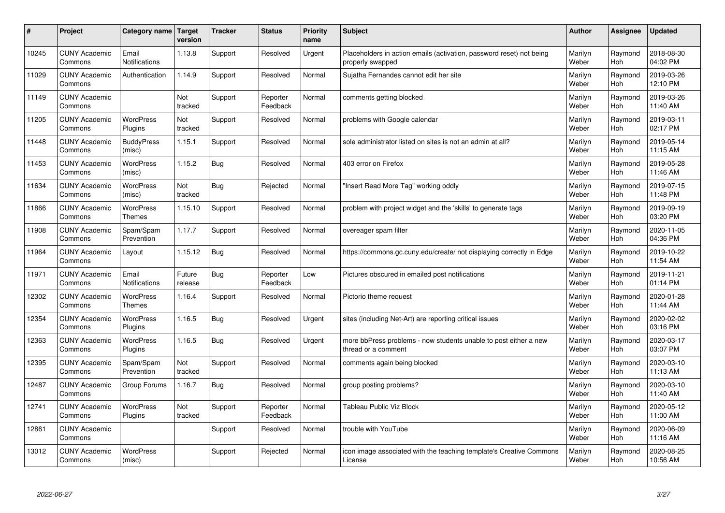| #     | Project                         | Category name                     | Target<br>version | <b>Tracker</b> | <b>Status</b>        | <b>Priority</b><br>name | <b>Subject</b>                                                                           | <b>Author</b>    | Assignee       | <b>Updated</b>         |
|-------|---------------------------------|-----------------------------------|-------------------|----------------|----------------------|-------------------------|------------------------------------------------------------------------------------------|------------------|----------------|------------------------|
| 10245 | <b>CUNY Academic</b><br>Commons | Email<br><b>Notifications</b>     | 1.13.8            | Support        | Resolved             | Urgent                  | Placeholders in action emails (activation, password reset) not being<br>properly swapped | Marilyn<br>Weber | Raymond<br>Hoh | 2018-08-30<br>04:02 PM |
| 11029 | <b>CUNY Academic</b><br>Commons | Authentication                    | 1.14.9            | Support        | Resolved             | Normal                  | Sujatha Fernandes cannot edit her site                                                   | Marilyn<br>Weber | Raymond<br>Hoh | 2019-03-26<br>12:10 PM |
| 11149 | <b>CUNY Academic</b><br>Commons |                                   | Not<br>tracked    | Support        | Reporter<br>Feedback | Normal                  | comments getting blocked                                                                 | Marilyn<br>Weber | Raymond<br>Hoh | 2019-03-26<br>11:40 AM |
| 11205 | <b>CUNY Academic</b><br>Commons | <b>WordPress</b><br>Plugins       | Not<br>tracked    | Support        | Resolved             | Normal                  | problems with Google calendar                                                            | Marilyn<br>Weber | Raymond<br>Hoh | 2019-03-11<br>02:17 PM |
| 11448 | <b>CUNY Academic</b><br>Commons | <b>BuddyPress</b><br>(misc)       | 1.15.1            | Support        | Resolved             | Normal                  | sole administrator listed on sites is not an admin at all?                               | Marilyn<br>Weber | Raymond<br>Hoh | 2019-05-14<br>11:15 AM |
| 11453 | <b>CUNY Academic</b><br>Commons | WordPress<br>(misc)               | 1.15.2            | <b>Bug</b>     | Resolved             | Normal                  | 403 error on Firefox                                                                     | Marilyn<br>Weber | Raymond<br>Hoh | 2019-05-28<br>11:46 AM |
| 11634 | <b>CUNY Academic</b><br>Commons | <b>WordPress</b><br>(misc)        | Not<br>tracked    | Bug            | Rejected             | Normal                  | 'Insert Read More Tag" working oddly                                                     | Marilyn<br>Weber | Raymond<br>Hoh | 2019-07-15<br>11:48 PM |
| 11866 | <b>CUNY Academic</b><br>Commons | <b>WordPress</b><br><b>Themes</b> | 1.15.10           | Support        | Resolved             | Normal                  | problem with project widget and the 'skills' to generate tags                            | Marilyn<br>Weber | Raymond<br>Hoh | 2019-09-19<br>03:20 PM |
| 11908 | <b>CUNY Academic</b><br>Commons | Spam/Spam<br>Prevention           | 1.17.7            | Support        | Resolved             | Normal                  | overeager spam filter                                                                    | Marilyn<br>Weber | Raymond<br>Hoh | 2020-11-05<br>04:36 PM |
| 11964 | <b>CUNY Academic</b><br>Commons | Layout                            | 1.15.12           | Bug            | Resolved             | Normal                  | https://commons.gc.cuny.edu/create/ not displaying correctly in Edge                     | Marilyn<br>Weber | Raymond<br>Hoh | 2019-10-22<br>11:54 AM |
| 11971 | <b>CUNY Academic</b><br>Commons | Email<br>Notifications            | Future<br>release | Bug            | Reporter<br>Feedback | Low                     | Pictures obscured in emailed post notifications                                          | Marilyn<br>Weber | Raymond<br>Hoh | 2019-11-21<br>01:14 PM |
| 12302 | <b>CUNY Academic</b><br>Commons | <b>WordPress</b><br><b>Themes</b> | 1.16.4            | Support        | Resolved             | Normal                  | Pictorio theme request                                                                   | Marilyn<br>Weber | Raymond<br>Hoh | 2020-01-28<br>11:44 AM |
| 12354 | <b>CUNY Academic</b><br>Commons | <b>WordPress</b><br>Plugins       | 1.16.5            | Bug            | Resolved             | Urgent                  | sites (including Net-Art) are reporting critical issues                                  | Marilyn<br>Weber | Raymond<br>Hoh | 2020-02-02<br>03:16 PM |
| 12363 | <b>CUNY Academic</b><br>Commons | <b>WordPress</b><br>Plugins       | 1.16.5            | <b>Bug</b>     | Resolved             | Urgent                  | more bbPress problems - now students unable to post either a new<br>thread or a comment  | Marilyn<br>Weber | Raymond<br>Hoh | 2020-03-17<br>03:07 PM |
| 12395 | <b>CUNY Academic</b><br>Commons | Spam/Spam<br>Prevention           | Not<br>tracked    | Support        | Resolved             | Normal                  | comments again being blocked                                                             | Marilyn<br>Weber | Raymond<br>Hoh | 2020-03-10<br>11:13 AM |
| 12487 | <b>CUNY Academic</b><br>Commons | Group Forums                      | 1.16.7            | <b>Bug</b>     | Resolved             | Normal                  | group posting problems?                                                                  | Marilyn<br>Weber | Raymond<br>Hoh | 2020-03-10<br>11:40 AM |
| 12741 | <b>CUNY Academic</b><br>Commons | <b>WordPress</b><br>Plugins       | Not<br>tracked    | Support        | Reporter<br>Feedback | Normal                  | <b>Tableau Public Viz Block</b>                                                          | Marilyn<br>Weber | Raymond<br>Hoh | 2020-05-12<br>11:00 AM |
| 12861 | <b>CUNY Academic</b><br>Commons |                                   |                   | Support        | Resolved             | Normal                  | trouble with YouTube                                                                     | Marilyn<br>Weber | Raymond<br>Hoh | 2020-06-09<br>11:16 AM |
| 13012 | <b>CUNY Academic</b><br>Commons | <b>WordPress</b><br>(misc)        |                   | Support        | Rejected             | Normal                  | icon image associated with the teaching template's Creative Commons<br>License           | Marilyn<br>Weber | Raymond<br>Hoh | 2020-08-25<br>10:56 AM |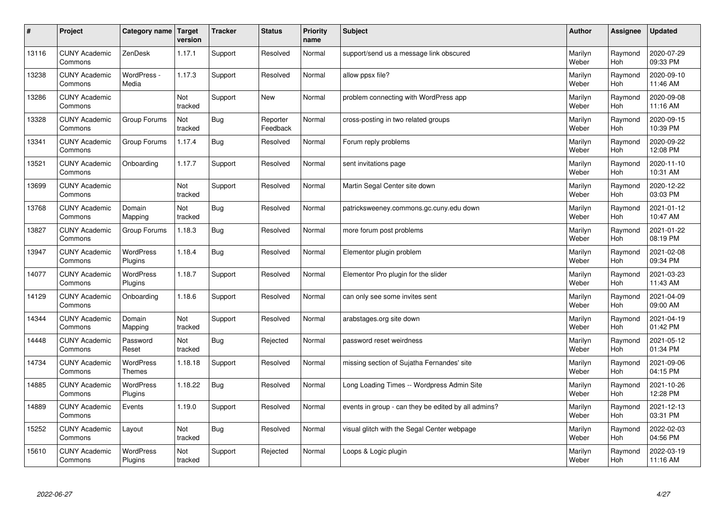| $\pmb{\#}$ | Project                         | Category name                     | Target<br>version | <b>Tracker</b> | <b>Status</b>        | <b>Priority</b><br>name | <b>Subject</b>                                      | <b>Author</b>    | Assignee              | <b>Updated</b>         |
|------------|---------------------------------|-----------------------------------|-------------------|----------------|----------------------|-------------------------|-----------------------------------------------------|------------------|-----------------------|------------------------|
| 13116      | <b>CUNY Academic</b><br>Commons | ZenDesk                           | 1.17.1            | Support        | Resolved             | Normal                  | support/send us a message link obscured             | Marilyn<br>Weber | Raymond<br>Hoh        | 2020-07-29<br>09:33 PM |
| 13238      | <b>CUNY Academic</b><br>Commons | WordPress -<br>Media              | 1.17.3            | Support        | Resolved             | Normal                  | allow ppsx file?                                    | Marilyn<br>Weber | Raymond<br>Hoh        | 2020-09-10<br>11:46 AM |
| 13286      | <b>CUNY Academic</b><br>Commons |                                   | Not<br>tracked    | Support        | <b>New</b>           | Normal                  | problem connecting with WordPress app               | Marilyn<br>Weber | Raymond<br><b>Hoh</b> | 2020-09-08<br>11:16 AM |
| 13328      | <b>CUNY Academic</b><br>Commons | Group Forums                      | Not<br>tracked    | Bug            | Reporter<br>Feedback | Normal                  | cross-posting in two related groups                 | Marilyn<br>Weber | Raymond<br><b>Hoh</b> | 2020-09-15<br>10:39 PM |
| 13341      | <b>CUNY Academic</b><br>Commons | Group Forums                      | 1.17.4            | <b>Bug</b>     | Resolved             | Normal                  | Forum reply problems                                | Marilyn<br>Weber | Raymond<br>Hoh        | 2020-09-22<br>12:08 PM |
| 13521      | <b>CUNY Academic</b><br>Commons | Onboarding                        | 1.17.7            | Support        | Resolved             | Normal                  | sent invitations page                               | Marilyn<br>Weber | Raymond<br>Hoh        | 2020-11-10<br>10:31 AM |
| 13699      | <b>CUNY Academic</b><br>Commons |                                   | Not<br>tracked    | Support        | Resolved             | Normal                  | Martin Segal Center site down                       | Marilyn<br>Weber | Raymond<br>Hoh        | 2020-12-22<br>03:03 PM |
| 13768      | <b>CUNY Academic</b><br>Commons | Domain<br>Mapping                 | Not<br>tracked    | <b>Bug</b>     | Resolved             | Normal                  | patricksweeney.commons.gc.cuny.edu down             | Marilyn<br>Weber | Raymond<br>Hoh        | 2021-01-12<br>10:47 AM |
| 13827      | <b>CUNY Academic</b><br>Commons | Group Forums                      | 1.18.3            | Bug            | Resolved             | Normal                  | more forum post problems                            | Marilyn<br>Weber | Raymond<br><b>Hoh</b> | 2021-01-22<br>08:19 PM |
| 13947      | <b>CUNY Academic</b><br>Commons | <b>WordPress</b><br>Plugins       | 1.18.4            | <b>Bug</b>     | Resolved             | Normal                  | Elementor plugin problem                            | Marilyn<br>Weber | Raymond<br>Hoh        | 2021-02-08<br>09:34 PM |
| 14077      | <b>CUNY Academic</b><br>Commons | WordPress<br>Plugins              | 1.18.7            | Support        | Resolved             | Normal                  | Elementor Pro plugin for the slider                 | Marilyn<br>Weber | Raymond<br>Hoh        | 2021-03-23<br>11:43 AM |
| 14129      | <b>CUNY Academic</b><br>Commons | Onboarding                        | 1.18.6            | Support        | Resolved             | Normal                  | can only see some invites sent                      | Marilyn<br>Weber | Raymond<br>Hoh        | 2021-04-09<br>09:00 AM |
| 14344      | <b>CUNY Academic</b><br>Commons | Domain<br>Mapping                 | Not<br>tracked    | Support        | Resolved             | Normal                  | arabstages.org site down                            | Marilyn<br>Weber | Raymond<br>Hoh        | 2021-04-19<br>01:42 PM |
| 14448      | <b>CUNY Academic</b><br>Commons | Password<br>Reset                 | Not<br>tracked    | <b>Bug</b>     | Rejected             | Normal                  | password reset weirdness                            | Marilyn<br>Weber | Raymond<br><b>Hoh</b> | 2021-05-12<br>01:34 PM |
| 14734      | <b>CUNY Academic</b><br>Commons | <b>WordPress</b><br><b>Themes</b> | 1.18.18           | Support        | Resolved             | Normal                  | missing section of Sujatha Fernandes' site          | Marilyn<br>Weber | Raymond<br>Hoh        | 2021-09-06<br>04:15 PM |
| 14885      | <b>CUNY Academic</b><br>Commons | <b>WordPress</b><br>Plugins       | 1.18.22           | <b>Bug</b>     | Resolved             | Normal                  | Long Loading Times -- Wordpress Admin Site          | Marilyn<br>Weber | Raymond<br>Hoh        | 2021-10-26<br>12:28 PM |
| 14889      | <b>CUNY Academic</b><br>Commons | Events                            | 1.19.0            | Support        | Resolved             | Normal                  | events in group - can they be edited by all admins? | Marilyn<br>Weber | Raymond<br>Hoh        | 2021-12-13<br>03:31 PM |
| 15252      | <b>CUNY Academic</b><br>Commons | Layout                            | Not<br>tracked    | <b>Bug</b>     | Resolved             | Normal                  | visual glitch with the Segal Center webpage         | Marilyn<br>Weber | Raymond<br>Hoh        | 2022-02-03<br>04:56 PM |
| 15610      | <b>CUNY Academic</b><br>Commons | <b>WordPress</b><br>Plugins       | Not<br>tracked    | Support        | Rejected             | Normal                  | Loops & Logic plugin                                | Marilyn<br>Weber | Raymond<br>Hoh        | 2022-03-19<br>11:16 AM |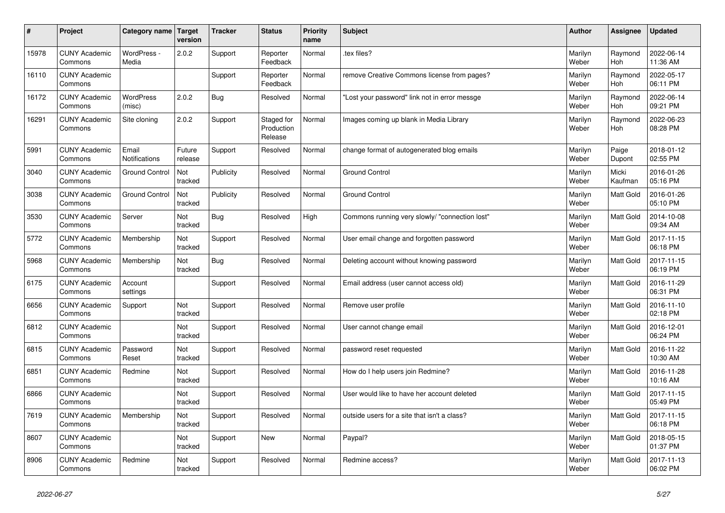| $\vert$ # | Project                         | Category name                 | Target<br>version | <b>Tracker</b> | <b>Status</b>                       | <b>Priority</b><br>name | <b>Subject</b>                                 | <b>Author</b>    | <b>Assignee</b>  | <b>Updated</b>         |
|-----------|---------------------------------|-------------------------------|-------------------|----------------|-------------------------------------|-------------------------|------------------------------------------------|------------------|------------------|------------------------|
| 15978     | <b>CUNY Academic</b><br>Commons | WordPress -<br>Media          | 2.0.2             | Support        | Reporter<br>Feedback                | Normal                  | tex files?                                     | Marilyn<br>Weber | Raymond<br>Hoh   | 2022-06-14<br>11:36 AM |
| 16110     | <b>CUNY Academic</b><br>Commons |                               |                   | Support        | Reporter<br>Feedback                | Normal                  | remove Creative Commons license from pages?    | Marilyn<br>Weber | Raymond<br>Hoh   | 2022-05-17<br>06:11 PM |
| 16172     | <b>CUNY Academic</b><br>Commons | <b>WordPress</b><br>(misc)    | 2.0.2             | Bug            | Resolved                            | Normal                  | 'Lost your password" link not in error messge  | Marilyn<br>Weber | Raymond<br>Hoh   | 2022-06-14<br>09:21 PM |
| 16291     | <b>CUNY Academic</b><br>Commons | Site cloning                  | 2.0.2             | Support        | Staged for<br>Production<br>Release | Normal                  | Images coming up blank in Media Library        | Marilyn<br>Weber | Raymond<br>Hoh   | 2022-06-23<br>08:28 PM |
| 5991      | <b>CUNY Academic</b><br>Commons | Email<br><b>Notifications</b> | Future<br>release | Support        | Resolved                            | Normal                  | change format of autogenerated blog emails     | Marilyn<br>Weber | Paige<br>Dupont  | 2018-01-12<br>02:55 PM |
| 3040      | <b>CUNY Academic</b><br>Commons | <b>Ground Control</b>         | Not<br>tracked    | Publicity      | Resolved                            | Normal                  | <b>Ground Control</b>                          | Marilyn<br>Weber | Micki<br>Kaufman | 2016-01-26<br>05:16 PM |
| 3038      | <b>CUNY Academic</b><br>Commons | <b>Ground Control</b>         | Not<br>tracked    | Publicity      | Resolved                            | Normal                  | <b>Ground Control</b>                          | Marilyn<br>Weber | Matt Gold        | 2016-01-26<br>05:10 PM |
| 3530      | <b>CUNY Academic</b><br>Commons | Server                        | Not<br>tracked    | <b>Bug</b>     | Resolved                            | High                    | Commons running very slowly/ "connection lost" | Marilyn<br>Weber | <b>Matt Gold</b> | 2014-10-08<br>09:34 AM |
| 5772      | <b>CUNY Academic</b><br>Commons | Membership                    | Not<br>tracked    | Support        | Resolved                            | Normal                  | User email change and forgotten password       | Marilyn<br>Weber | <b>Matt Gold</b> | 2017-11-15<br>06:18 PM |
| 5968      | <b>CUNY Academic</b><br>Commons | Membership                    | Not<br>tracked    | <b>Bug</b>     | Resolved                            | Normal                  | Deleting account without knowing password      | Marilyn<br>Weber | Matt Gold        | 2017-11-15<br>06:19 PM |
| 6175      | <b>CUNY Academic</b><br>Commons | Account<br>settings           |                   | Support        | Resolved                            | Normal                  | Email address (user cannot access old)         | Marilyn<br>Weber | <b>Matt Gold</b> | 2016-11-29<br>06:31 PM |
| 6656      | <b>CUNY Academic</b><br>Commons | Support                       | Not<br>tracked    | Support        | Resolved                            | Normal                  | Remove user profile                            | Marilyn<br>Weber | <b>Matt Gold</b> | 2016-11-10<br>02:18 PM |
| 6812      | <b>CUNY Academic</b><br>Commons |                               | Not<br>tracked    | Support        | Resolved                            | Normal                  | User cannot change email                       | Marilyn<br>Weber | Matt Gold        | 2016-12-01<br>06:24 PM |
| 6815      | <b>CUNY Academic</b><br>Commons | Password<br>Reset             | Not<br>tracked    | Support        | Resolved                            | Normal                  | password reset requested                       | Marilyn<br>Weber | Matt Gold        | 2016-11-22<br>10:30 AM |
| 6851      | <b>CUNY Academic</b><br>Commons | Redmine                       | Not<br>tracked    | Support        | Resolved                            | Normal                  | How do I help users join Redmine?              | Marilyn<br>Weber | <b>Matt Gold</b> | 2016-11-28<br>10:16 AM |
| 6866      | <b>CUNY Academic</b><br>Commons |                               | Not<br>tracked    | Support        | Resolved                            | Normal                  | User would like to have her account deleted    | Marilyn<br>Weber | Matt Gold        | 2017-11-15<br>05:49 PM |
| 7619      | <b>CUNY Academic</b><br>Commons | Membership                    | Not<br>tracked    | Support        | Resolved                            | Normal                  | outside users for a site that isn't a class?   | Marilyn<br>Weber | Matt Gold        | 2017-11-15<br>06:18 PM |
| 8607      | <b>CUNY Academic</b><br>Commons |                               | Not<br>tracked    | Support        | <b>New</b>                          | Normal                  | Paypal?                                        | Marilyn<br>Weber | <b>Matt Gold</b> | 2018-05-15<br>01:37 PM |
| 8906      | <b>CUNY Academic</b><br>Commons | Redmine                       | Not<br>tracked    | Support        | Resolved                            | Normal                  | Redmine access?                                | Marilyn<br>Weber | <b>Matt Gold</b> | 2017-11-13<br>06:02 PM |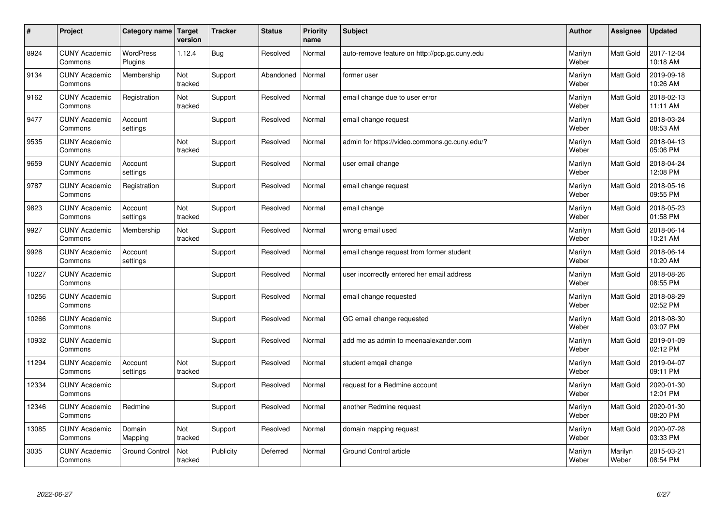| $\vert$ # | Project                         | Category name               | Target<br>version | <b>Tracker</b> | <b>Status</b> | <b>Priority</b><br>name | <b>Subject</b>                                | <b>Author</b>    | <b>Assignee</b>  | <b>Updated</b>         |
|-----------|---------------------------------|-----------------------------|-------------------|----------------|---------------|-------------------------|-----------------------------------------------|------------------|------------------|------------------------|
| 8924      | <b>CUNY Academic</b><br>Commons | <b>WordPress</b><br>Plugins | 1.12.4            | <b>Bug</b>     | Resolved      | Normal                  | auto-remove feature on http://pcp.gc.cuny.edu | Marilyn<br>Weber | <b>Matt Gold</b> | 2017-12-04<br>10:18 AM |
| 9134      | <b>CUNY Academic</b><br>Commons | Membership                  | Not<br>tracked    | Support        | Abandoned     | Normal                  | former user                                   | Marilyn<br>Weber | Matt Gold        | 2019-09-18<br>10:26 AM |
| 9162      | <b>CUNY Academic</b><br>Commons | Registration                | Not<br>tracked    | Support        | Resolved      | Normal                  | email change due to user error                | Marilyn<br>Weber | Matt Gold        | 2018-02-13<br>11:11 AM |
| 9477      | <b>CUNY Academic</b><br>Commons | Account<br>settings         |                   | Support        | Resolved      | Normal                  | email change request                          | Marilyn<br>Weber | <b>Matt Gold</b> | 2018-03-24<br>08:53 AM |
| 9535      | <b>CUNY Academic</b><br>Commons |                             | Not<br>tracked    | Support        | Resolved      | Normal                  | admin for https://video.commons.gc.cuny.edu/? | Marilyn<br>Weber | Matt Gold        | 2018-04-13<br>05:06 PM |
| 9659      | <b>CUNY Academic</b><br>Commons | Account<br>settings         |                   | Support        | Resolved      | Normal                  | user email change                             | Marilyn<br>Weber | Matt Gold        | 2018-04-24<br>12:08 PM |
| 9787      | <b>CUNY Academic</b><br>Commons | Registration                |                   | Support        | Resolved      | Normal                  | email change request                          | Marilyn<br>Weber | Matt Gold        | 2018-05-16<br>09:55 PM |
| 9823      | <b>CUNY Academic</b><br>Commons | Account<br>settings         | Not<br>tracked    | Support        | Resolved      | Normal                  | email change                                  | Marilyn<br>Weber | Matt Gold        | 2018-05-23<br>01:58 PM |
| 9927      | <b>CUNY Academic</b><br>Commons | Membership                  | Not<br>tracked    | Support        | Resolved      | Normal                  | wrong email used                              | Marilyn<br>Weber | Matt Gold        | 2018-06-14<br>10:21 AM |
| 9928      | <b>CUNY Academic</b><br>Commons | Account<br>settings         |                   | Support        | Resolved      | Normal                  | email change request from former student      | Marilyn<br>Weber | Matt Gold        | 2018-06-14<br>10:20 AM |
| 10227     | <b>CUNY Academic</b><br>Commons |                             |                   | Support        | Resolved      | Normal                  | user incorrectly entered her email address    | Marilyn<br>Weber | Matt Gold        | 2018-08-26<br>08:55 PM |
| 10256     | <b>CUNY Academic</b><br>Commons |                             |                   | Support        | Resolved      | Normal                  | email change requested                        | Marilyn<br>Weber | Matt Gold        | 2018-08-29<br>02:52 PM |
| 10266     | <b>CUNY Academic</b><br>Commons |                             |                   | Support        | Resolved      | Normal                  | GC email change requested                     | Marilyn<br>Weber | Matt Gold        | 2018-08-30<br>03:07 PM |
| 10932     | <b>CUNY Academic</b><br>Commons |                             |                   | Support        | Resolved      | Normal                  | add me as admin to meenaalexander.com         | Marilyn<br>Weber | Matt Gold        | 2019-01-09<br>02:12 PM |
| 11294     | <b>CUNY Academic</b><br>Commons | Account<br>settings         | Not<br>tracked    | Support        | Resolved      | Normal                  | student emqail change                         | Marilyn<br>Weber | Matt Gold        | 2019-04-07<br>09:11 PM |
| 12334     | <b>CUNY Academic</b><br>Commons |                             |                   | Support        | Resolved      | Normal                  | request for a Redmine account                 | Marilyn<br>Weber | Matt Gold        | 2020-01-30<br>12:01 PM |
| 12346     | <b>CUNY Academic</b><br>Commons | Redmine                     |                   | Support        | Resolved      | Normal                  | another Redmine request                       | Marilyn<br>Weber | Matt Gold        | 2020-01-30<br>08:20 PM |
| 13085     | <b>CUNY Academic</b><br>Commons | Domain<br>Mapping           | Not<br>tracked    | Support        | Resolved      | Normal                  | domain mapping request                        | Marilyn<br>Weber | <b>Matt Gold</b> | 2020-07-28<br>03:33 PM |
| 3035      | <b>CUNY Academic</b><br>Commons | <b>Ground Control</b>       | Not<br>tracked    | Publicity      | Deferred      | Normal                  | <b>Ground Control article</b>                 | Marilyn<br>Weber | Marilyn<br>Weber | 2015-03-21<br>08:54 PM |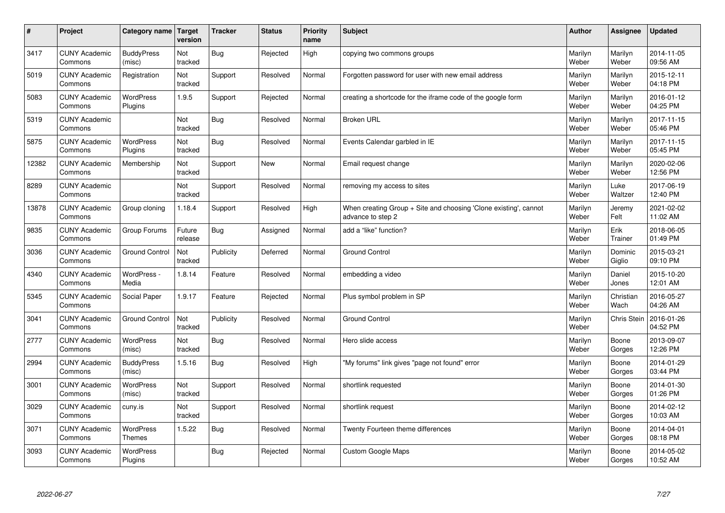| $\sharp$ | Project                         | Category name   Target      | version           | <b>Tracker</b> | <b>Status</b> | Priority<br>name | <b>Subject</b>                                                                        | <b>Author</b>    | <b>Assignee</b>    | <b>Updated</b>         |
|----------|---------------------------------|-----------------------------|-------------------|----------------|---------------|------------------|---------------------------------------------------------------------------------------|------------------|--------------------|------------------------|
| 3417     | <b>CUNY Academic</b><br>Commons | <b>BuddyPress</b><br>(misc) | Not<br>tracked    | <b>Bug</b>     | Rejected      | High             | copying two commons groups                                                            | Marilyn<br>Weber | Marilyn<br>Weber   | 2014-11-05<br>09:56 AM |
| 5019     | <b>CUNY Academic</b><br>Commons | Registration                | Not<br>tracked    | Support        | Resolved      | Normal           | Forgotten password for user with new email address                                    | Marilyn<br>Weber | Marilyn<br>Weber   | 2015-12-11<br>04:18 PM |
| 5083     | <b>CUNY Academic</b><br>Commons | <b>WordPress</b><br>Plugins | 1.9.5             | Support        | Rejected      | Normal           | creating a shortcode for the iframe code of the google form                           | Marilyn<br>Weber | Marilyn<br>Weber   | 2016-01-12<br>04:25 PM |
| 5319     | <b>CUNY Academic</b><br>Commons |                             | Not<br>tracked    | <b>Bug</b>     | Resolved      | Normal           | <b>Broken URL</b>                                                                     | Marilyn<br>Weber | Marilyn<br>Weber   | 2017-11-15<br>05:46 PM |
| 5875     | <b>CUNY Academic</b><br>Commons | <b>WordPress</b><br>Plugins | Not<br>tracked    | Bug            | Resolved      | Normal           | Events Calendar garbled in IE                                                         | Marilyn<br>Weber | Marilyn<br>Weber   | 2017-11-15<br>05:45 PM |
| 12382    | <b>CUNY Academic</b><br>Commons | Membership                  | Not<br>tracked    | Support        | <b>New</b>    | Normal           | Email request change                                                                  | Marilyn<br>Weber | Marilyn<br>Weber   | 2020-02-06<br>12:56 PM |
| 8289     | <b>CUNY Academic</b><br>Commons |                             | Not<br>tracked    | Support        | Resolved      | Normal           | removing my access to sites                                                           | Marilyn<br>Weber | Luke<br>Waltzer    | 2017-06-19<br>12:40 PM |
| 13878    | <b>CUNY Academic</b><br>Commons | Group cloning               | 1.18.4            | Support        | Resolved      | High             | When creating Group + Site and choosing 'Clone existing', cannot<br>advance to step 2 | Marilyn<br>Weber | Jeremy<br>Felt     | 2021-02-02<br>11:02 AM |
| 9835     | <b>CUNY Academic</b><br>Commons | Group Forums                | Future<br>release | <b>Bug</b>     | Assigned      | Normal           | add a "like" function?                                                                | Marilyn<br>Weber | Erik<br>Trainer    | 2018-06-05<br>01:49 PM |
| 3036     | <b>CUNY Academic</b><br>Commons | <b>Ground Control</b>       | Not<br>tracked    | Publicity      | Deferred      | Normal           | <b>Ground Control</b>                                                                 | Marilyn<br>Weber | Dominic<br>Giglio  | 2015-03-21<br>09:10 PM |
| 4340     | <b>CUNY Academic</b><br>Commons | WordPress -<br>Media        | 1.8.14            | Feature        | Resolved      | Normal           | embedding a video                                                                     | Marilyn<br>Weber | Daniel<br>Jones    | 2015-10-20<br>12:01 AM |
| 5345     | <b>CUNY Academic</b><br>Commons | Social Paper                | 1.9.17            | Feature        | Rejected      | Normal           | Plus symbol problem in SP                                                             | Marilyn<br>Weber | Christian<br>Wach  | 2016-05-27<br>04:26 AM |
| 3041     | <b>CUNY Academic</b><br>Commons | <b>Ground Control</b>       | Not<br>tracked    | Publicity      | Resolved      | Normal           | <b>Ground Control</b>                                                                 | Marilyn<br>Weber | <b>Chris Stein</b> | 2016-01-26<br>04:52 PM |
| 2777     | <b>CUNY Academic</b><br>Commons | WordPress<br>(misc)         | Not<br>tracked    | <b>Bug</b>     | Resolved      | Normal           | Hero slide access                                                                     | Marilyn<br>Weber | Boone<br>Gorges    | 2013-09-07<br>12:26 PM |
| 2994     | <b>CUNY Academic</b><br>Commons | <b>BuddyPress</b><br>(misc) | 1.5.16            | Bug            | Resolved      | High             | "My forums" link gives "page not found" error                                         | Marilyn<br>Weber | Boone<br>Gorges    | 2014-01-29<br>03:44 PM |
| 3001     | <b>CUNY Academic</b><br>Commons | WordPress<br>(misc)         | Not<br>tracked    | Support        | Resolved      | Normal           | shortlink requested                                                                   | Marilyn<br>Weber | Boone<br>Gorges    | 2014-01-30<br>01:26 PM |
| 3029     | <b>CUNY Academic</b><br>Commons | cuny.is                     | Not<br>tracked    | Support        | Resolved      | Normal           | shortlink request                                                                     | Marilyn<br>Weber | Boone<br>Gorges    | 2014-02-12<br>10:03 AM |
| 3071     | <b>CUNY Academic</b><br>Commons | WordPress<br><b>Themes</b>  | 1.5.22            | Bug            | Resolved      | Normal           | Twenty Fourteen theme differences                                                     | Marilyn<br>Weber | Boone<br>Gorges    | 2014-04-01<br>08:18 PM |
| 3093     | <b>CUNY Academic</b><br>Commons | <b>WordPress</b><br>Plugins |                   | Bug            | Rejected      | Normal           | <b>Custom Google Maps</b>                                                             | Marilyn<br>Weber | Boone<br>Gorges    | 2014-05-02<br>10:52 AM |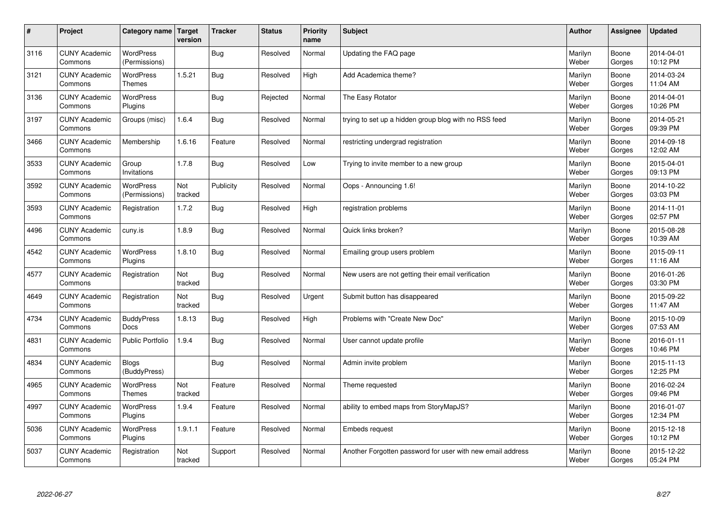| $\sharp$ | Project                         | Category name   Target            | version        | <b>Tracker</b> | <b>Status</b> | <b>Priority</b><br>name | <b>Subject</b>                                             | <b>Author</b>    | <b>Assignee</b> | <b>Updated</b>         |
|----------|---------------------------------|-----------------------------------|----------------|----------------|---------------|-------------------------|------------------------------------------------------------|------------------|-----------------|------------------------|
| 3116     | <b>CUNY Academic</b><br>Commons | <b>WordPress</b><br>(Permissions) |                | Bug            | Resolved      | Normal                  | Updating the FAQ page                                      | Marilyn<br>Weber | Boone<br>Gorges | 2014-04-01<br>10:12 PM |
| 3121     | <b>CUNY Academic</b><br>Commons | WordPress<br>Themes               | 1.5.21         | Bug            | Resolved      | High                    | Add Academica theme?                                       | Marilyn<br>Weber | Boone<br>Gorges | 2014-03-24<br>11:04 AM |
| 3136     | <b>CUNY Academic</b><br>Commons | <b>WordPress</b><br>Plugins       |                | <b>Bug</b>     | Rejected      | Normal                  | The Easy Rotator                                           | Marilyn<br>Weber | Boone<br>Gorges | 2014-04-01<br>10:26 PM |
| 3197     | <b>CUNY Academic</b><br>Commons | Groups (misc)                     | 1.6.4          | <b>Bug</b>     | Resolved      | Normal                  | trying to set up a hidden group blog with no RSS feed      | Marilyn<br>Weber | Boone<br>Gorges | 2014-05-21<br>09:39 PM |
| 3466     | <b>CUNY Academic</b><br>Commons | Membership                        | 1.6.16         | Feature        | Resolved      | Normal                  | restricting undergrad registration                         | Marilyn<br>Weber | Boone<br>Gorges | 2014-09-18<br>12:02 AM |
| 3533     | <b>CUNY Academic</b><br>Commons | Group<br>Invitations              | 1.7.8          | Bug            | Resolved      | Low                     | Trying to invite member to a new group                     | Marilyn<br>Weber | Boone<br>Gorges | 2015-04-01<br>09:13 PM |
| 3592     | <b>CUNY Academic</b><br>Commons | <b>WordPress</b><br>(Permissions) | Not<br>tracked | Publicity      | Resolved      | Normal                  | Oops - Announcing 1.6!                                     | Marilyn<br>Weber | Boone<br>Gorges | 2014-10-22<br>03:03 PM |
| 3593     | <b>CUNY Academic</b><br>Commons | Registration                      | 1.7.2          | Bug            | Resolved      | High                    | registration problems                                      | Marilyn<br>Weber | Boone<br>Gorges | 2014-11-01<br>02:57 PM |
| 4496     | <b>CUNY Academic</b><br>Commons | cuny.is                           | 1.8.9          | Bug            | Resolved      | Normal                  | Quick links broken?                                        | Marilyn<br>Weber | Boone<br>Gorges | 2015-08-28<br>10:39 AM |
| 4542     | <b>CUNY Academic</b><br>Commons | <b>WordPress</b><br>Plugins       | 1.8.10         | <b>Bug</b>     | Resolved      | Normal                  | Emailing group users problem                               | Marilyn<br>Weber | Boone<br>Gorges | 2015-09-11<br>11:16 AM |
| 4577     | <b>CUNY Academic</b><br>Commons | Registration                      | Not<br>tracked | Bug            | Resolved      | Normal                  | New users are not getting their email verification         | Marilyn<br>Weber | Boone<br>Gorges | 2016-01-26<br>03:30 PM |
| 4649     | <b>CUNY Academic</b><br>Commons | Registration                      | Not<br>tracked | Bug            | Resolved      | Urgent                  | Submit button has disappeared                              | Marilyn<br>Weber | Boone<br>Gorges | 2015-09-22<br>11:47 AM |
| 4734     | <b>CUNY Academic</b><br>Commons | <b>BuddyPress</b><br>Docs         | 1.8.13         | Bug            | Resolved      | High                    | Problems with "Create New Doc"                             | Marilyn<br>Weber | Boone<br>Gorges | 2015-10-09<br>07:53 AM |
| 4831     | <b>CUNY Academic</b><br>Commons | <b>Public Portfolio</b>           | 1.9.4          | Bug            | Resolved      | Normal                  | User cannot update profile                                 | Marilyn<br>Weber | Boone<br>Gorges | 2016-01-11<br>10:46 PM |
| 4834     | <b>CUNY Academic</b><br>Commons | <b>Blogs</b><br>(BuddyPress)      |                | <b>Bug</b>     | Resolved      | Normal                  | Admin invite problem                                       | Marilyn<br>Weber | Boone<br>Gorges | 2015-11-13<br>12:25 PM |
| 4965     | <b>CUNY Academic</b><br>Commons | <b>WordPress</b><br><b>Themes</b> | Not<br>tracked | Feature        | Resolved      | Normal                  | Theme requested                                            | Marilyn<br>Weber | Boone<br>Gorges | 2016-02-24<br>09:46 PM |
| 4997     | <b>CUNY Academic</b><br>Commons | <b>WordPress</b><br>Plugins       | 1.9.4          | Feature        | Resolved      | Normal                  | ability to embed maps from StoryMapJS?                     | Marilyn<br>Weber | Boone<br>Gorges | 2016-01-07<br>12:34 PM |
| 5036     | <b>CUNY Academic</b><br>Commons | WordPress<br>Plugins              | 1.9.1.1        | Feature        | Resolved      | Normal                  | Embeds request                                             | Marilyn<br>Weber | Boone<br>Gorges | 2015-12-18<br>10:12 PM |
| 5037     | <b>CUNY Academic</b><br>Commons | Registration                      | Not<br>tracked | Support        | Resolved      | Normal                  | Another Forgotten password for user with new email address | Marilyn<br>Weber | Boone<br>Gorges | 2015-12-22<br>05:24 PM |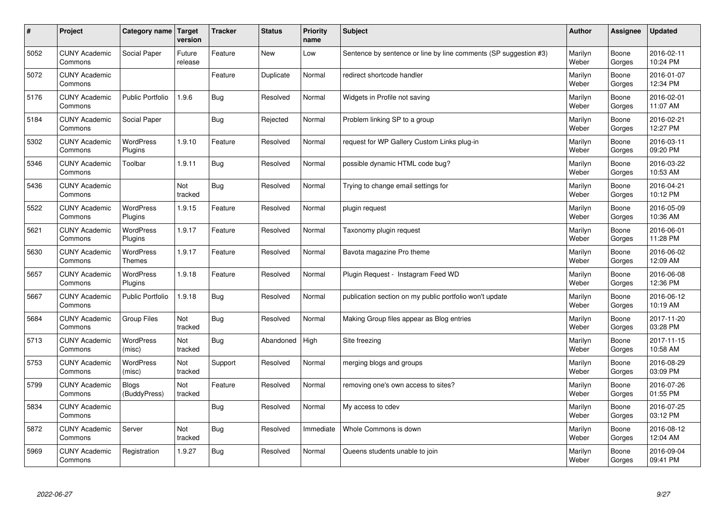| $\sharp$ | Project                         | Category name   Target            | version           | <b>Tracker</b> | <b>Status</b> | <b>Priority</b><br>name | <b>Subject</b>                                                   | <b>Author</b>    | Assignee        | <b>Updated</b>         |
|----------|---------------------------------|-----------------------------------|-------------------|----------------|---------------|-------------------------|------------------------------------------------------------------|------------------|-----------------|------------------------|
| 5052     | <b>CUNY Academic</b><br>Commons | Social Paper                      | Future<br>release | Feature        | <b>New</b>    | Low                     | Sentence by sentence or line by line comments (SP suggestion #3) | Marilyn<br>Weber | Boone<br>Gorges | 2016-02-11<br>10:24 PM |
| 5072     | <b>CUNY Academic</b><br>Commons |                                   |                   | Feature        | Duplicate     | Normal                  | redirect shortcode handler                                       | Marilyn<br>Weber | Boone<br>Gorges | 2016-01-07<br>12:34 PM |
| 5176     | <b>CUNY Academic</b><br>Commons | <b>Public Portfolio</b>           | 1.9.6             | Bug            | Resolved      | Normal                  | Widgets in Profile not saving                                    | Marilyn<br>Weber | Boone<br>Gorges | 2016-02-01<br>11:07 AM |
| 5184     | <b>CUNY Academic</b><br>Commons | Social Paper                      |                   | <b>Bug</b>     | Rejected      | Normal                  | Problem linking SP to a group                                    | Marilyn<br>Weber | Boone<br>Gorges | 2016-02-21<br>12:27 PM |
| 5302     | <b>CUNY Academic</b><br>Commons | <b>WordPress</b><br>Plugins       | 1.9.10            | Feature        | Resolved      | Normal                  | request for WP Gallery Custom Links plug-in                      | Marilyn<br>Weber | Boone<br>Gorges | 2016-03-11<br>09:20 PM |
| 5346     | <b>CUNY Academic</b><br>Commons | Toolbar                           | 1.9.11            | Bug            | Resolved      | Normal                  | possible dynamic HTML code bug?                                  | Marilyn<br>Weber | Boone<br>Gorges | 2016-03-22<br>10:53 AM |
| 5436     | <b>CUNY Academic</b><br>Commons |                                   | Not<br>tracked    | <b>Bug</b>     | Resolved      | Normal                  | Trying to change email settings for                              | Marilyn<br>Weber | Boone<br>Gorges | 2016-04-21<br>10:12 PM |
| 5522     | <b>CUNY Academic</b><br>Commons | WordPress<br>Plugins              | 1.9.15            | Feature        | Resolved      | Normal                  | plugin request                                                   | Marilyn<br>Weber | Boone<br>Gorges | 2016-05-09<br>10:36 AM |
| 5621     | <b>CUNY Academic</b><br>Commons | WordPress<br>Plugins              | 1.9.17            | Feature        | Resolved      | Normal                  | Taxonomy plugin request                                          | Marilyn<br>Weber | Boone<br>Gorges | 2016-06-01<br>11:28 PM |
| 5630     | <b>CUNY Academic</b><br>Commons | <b>WordPress</b><br><b>Themes</b> | 1.9.17            | Feature        | Resolved      | Normal                  | Bavota magazine Pro theme                                        | Marilyn<br>Weber | Boone<br>Gorges | 2016-06-02<br>12:09 AM |
| 5657     | <b>CUNY Academic</b><br>Commons | <b>WordPress</b><br>Plugins       | 1.9.18            | Feature        | Resolved      | Normal                  | Plugin Request - Instagram Feed WD                               | Marilyn<br>Weber | Boone<br>Gorges | 2016-06-08<br>12:36 PM |
| 5667     | <b>CUNY Academic</b><br>Commons | Public Portfolio                  | 1.9.18            | <b>Bug</b>     | Resolved      | Normal                  | publication section on my public portfolio won't update          | Marilyn<br>Weber | Boone<br>Gorges | 2016-06-12<br>10:19 AM |
| 5684     | <b>CUNY Academic</b><br>Commons | Group Files                       | Not<br>tracked    | <b>Bug</b>     | Resolved      | Normal                  | Making Group files appear as Blog entries                        | Marilyn<br>Weber | Boone<br>Gorges | 2017-11-20<br>03:28 PM |
| 5713     | <b>CUNY Academic</b><br>Commons | <b>WordPress</b><br>(misc)        | Not<br>tracked    | <b>Bug</b>     | Abandoned     | High                    | Site freezing                                                    | Marilyn<br>Weber | Boone<br>Gorges | 2017-11-15<br>10:58 AM |
| 5753     | <b>CUNY Academic</b><br>Commons | WordPress<br>(misc)               | Not<br>tracked    | Support        | Resolved      | Normal                  | merging blogs and groups                                         | Marilyn<br>Weber | Boone<br>Gorges | 2016-08-29<br>03:09 PM |
| 5799     | <b>CUNY Academic</b><br>Commons | <b>Blogs</b><br>(BuddyPress)      | Not<br>tracked    | Feature        | Resolved      | Normal                  | removing one's own access to sites?                              | Marilyn<br>Weber | Boone<br>Gorges | 2016-07-26<br>01:55 PM |
| 5834     | <b>CUNY Academic</b><br>Commons |                                   |                   | Bug            | Resolved      | Normal                  | My access to cdev                                                | Marilyn<br>Weber | Boone<br>Gorges | 2016-07-25<br>03:12 PM |
| 5872     | <b>CUNY Academic</b><br>Commons | Server                            | Not<br>tracked    | <b>Bug</b>     | Resolved      | Immediate               | Whole Commons is down                                            | Marilyn<br>Weber | Boone<br>Gorges | 2016-08-12<br>12:04 AM |
| 5969     | <b>CUNY Academic</b><br>Commons | Registration                      | 1.9.27            | Bug            | Resolved      | Normal                  | Queens students unable to join                                   | Marilyn<br>Weber | Boone<br>Gorges | 2016-09-04<br>09:41 PM |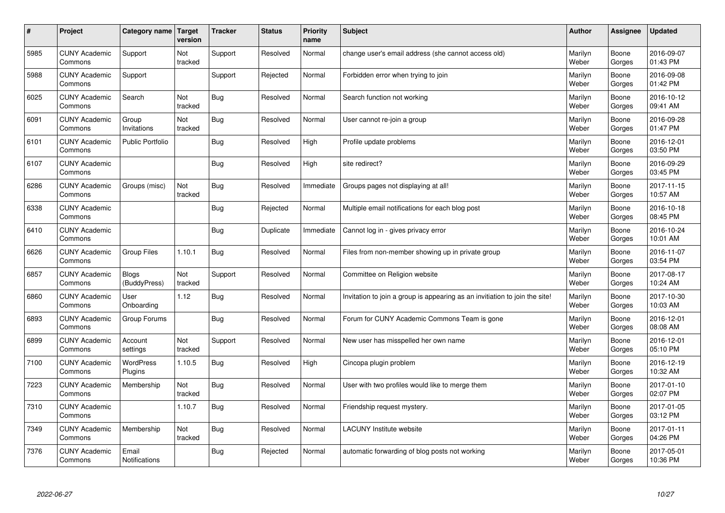| $\sharp$ | Project                         | Category name   Target       | version        | <b>Tracker</b> | <b>Status</b> | <b>Priority</b><br>name | <b>Subject</b>                                                              | <b>Author</b>    | Assignee        | <b>Updated</b>         |
|----------|---------------------------------|------------------------------|----------------|----------------|---------------|-------------------------|-----------------------------------------------------------------------------|------------------|-----------------|------------------------|
| 5985     | <b>CUNY Academic</b><br>Commons | Support                      | Not<br>tracked | Support        | Resolved      | Normal                  | change user's email address (she cannot access old)                         | Marilyn<br>Weber | Boone<br>Gorges | 2016-09-07<br>01:43 PM |
| 5988     | <b>CUNY Academic</b><br>Commons | Support                      |                | Support        | Rejected      | Normal                  | Forbidden error when trying to join                                         | Marilyn<br>Weber | Boone<br>Gorges | 2016-09-08<br>01:42 PM |
| 6025     | <b>CUNY Academic</b><br>Commons | Search                       | Not<br>tracked | <b>Bug</b>     | Resolved      | Normal                  | Search function not working                                                 | Marilyn<br>Weber | Boone<br>Gorges | 2016-10-12<br>09:41 AM |
| 6091     | <b>CUNY Academic</b><br>Commons | Group<br>Invitations         | Not<br>tracked | <b>Bug</b>     | Resolved      | Normal                  | User cannot re-join a group                                                 | Marilyn<br>Weber | Boone<br>Gorges | 2016-09-28<br>01:47 PM |
| 6101     | <b>CUNY Academic</b><br>Commons | <b>Public Portfolio</b>      |                | Bug            | Resolved      | High                    | Profile update problems                                                     | Marilyn<br>Weber | Boone<br>Gorges | 2016-12-01<br>03:50 PM |
| 6107     | <b>CUNY Academic</b><br>Commons |                              |                | <b>Bug</b>     | Resolved      | High                    | site redirect?                                                              | Marilyn<br>Weber | Boone<br>Gorges | 2016-09-29<br>03:45 PM |
| 6286     | <b>CUNY Academic</b><br>Commons | Groups (misc)                | Not<br>tracked | Bug            | Resolved      | Immediate               | Groups pages not displaying at all!                                         | Marilyn<br>Weber | Boone<br>Gorges | 2017-11-15<br>10:57 AM |
| 6338     | <b>CUNY Academic</b><br>Commons |                              |                | Bug            | Rejected      | Normal                  | Multiple email notifications for each blog post                             | Marilyn<br>Weber | Boone<br>Gorges | 2016-10-18<br>08:45 PM |
| 6410     | <b>CUNY Academic</b><br>Commons |                              |                | Bug            | Duplicate     | Immediate               | Cannot log in - gives privacy error                                         | Marilyn<br>Weber | Boone<br>Gorges | 2016-10-24<br>10:01 AM |
| 6626     | <b>CUNY Academic</b><br>Commons | Group Files                  | 1.10.1         | Bug            | Resolved      | Normal                  | Files from non-member showing up in private group                           | Marilyn<br>Weber | Boone<br>Gorges | 2016-11-07<br>03:54 PM |
| 6857     | <b>CUNY Academic</b><br>Commons | <b>Blogs</b><br>(BuddyPress) | Not<br>tracked | Support        | Resolved      | Normal                  | Committee on Religion website                                               | Marilyn<br>Weber | Boone<br>Gorges | 2017-08-17<br>10:24 AM |
| 6860     | <b>CUNY Academic</b><br>Commons | User<br>Onboarding           | 1.12           | Bug            | Resolved      | Normal                  | Invitation to join a group is appearing as an invitiation to join the site! | Marilyn<br>Weber | Boone<br>Gorges | 2017-10-30<br>10:03 AM |
| 6893     | <b>CUNY Academic</b><br>Commons | Group Forums                 |                | Bug            | Resolved      | Normal                  | Forum for CUNY Academic Commons Team is gone                                | Marilyn<br>Weber | Boone<br>Gorges | 2016-12-01<br>08:08 AM |
| 6899     | <b>CUNY Academic</b><br>Commons | Account<br>settings          | Not<br>tracked | Support        | Resolved      | Normal                  | New user has misspelled her own name                                        | Marilyn<br>Weber | Boone<br>Gorges | 2016-12-01<br>05:10 PM |
| 7100     | <b>CUNY Academic</b><br>Commons | <b>WordPress</b><br>Plugins  | 1.10.5         | <b>Bug</b>     | Resolved      | High                    | Cincopa plugin problem                                                      | Marilyn<br>Weber | Boone<br>Gorges | 2016-12-19<br>10:32 AM |
| 7223     | <b>CUNY Academic</b><br>Commons | Membership                   | Not<br>tracked | Bug            | Resolved      | Normal                  | User with two profiles would like to merge them                             | Marilyn<br>Weber | Boone<br>Gorges | 2017-01-10<br>02:07 PM |
| 7310     | <b>CUNY Academic</b><br>Commons |                              | 1.10.7         | <b>Bug</b>     | Resolved      | Normal                  | Friendship request mystery.                                                 | Marilyn<br>Weber | Boone<br>Gorges | 2017-01-05<br>03:12 PM |
| 7349     | <b>CUNY Academic</b><br>Commons | Membership                   | Not<br>tracked | Bug            | Resolved      | Normal                  | <b>LACUNY</b> Institute website                                             | Marilyn<br>Weber | Boone<br>Gorges | 2017-01-11<br>04:26 PM |
| 7376     | <b>CUNY Academic</b><br>Commons | Email<br>Notifications       |                | Bug            | Rejected      | Normal                  | automatic forwarding of blog posts not working                              | Marilyn<br>Weber | Boone<br>Gorges | 2017-05-01<br>10:36 PM |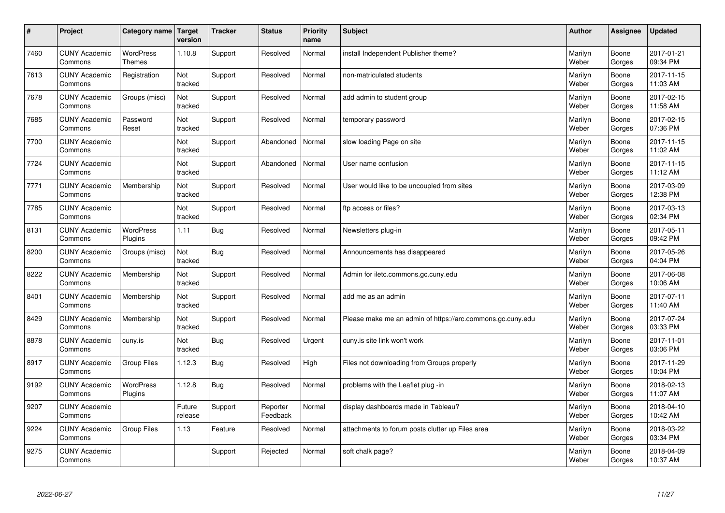| $\vert$ # | Project                         | Category name                     | <b>Target</b><br>version | <b>Tracker</b> | <b>Status</b>        | Priority<br>name | <b>Subject</b>                                             | <b>Author</b>    | Assignee        | <b>Updated</b>         |
|-----------|---------------------------------|-----------------------------------|--------------------------|----------------|----------------------|------------------|------------------------------------------------------------|------------------|-----------------|------------------------|
| 7460      | <b>CUNY Academic</b><br>Commons | <b>WordPress</b><br><b>Themes</b> | 1.10.8                   | Support        | Resolved             | Normal           | install Independent Publisher theme?                       | Marilyn<br>Weber | Boone<br>Gorges | 2017-01-21<br>09:34 PM |
| 7613      | <b>CUNY Academic</b><br>Commons | Registration                      | Not<br>tracked           | Support        | Resolved             | Normal           | non-matriculated students                                  | Marilyn<br>Weber | Boone<br>Gorges | 2017-11-15<br>11:03 AM |
| 7678      | <b>CUNY Academic</b><br>Commons | Groups (misc)                     | Not<br>tracked           | Support        | Resolved             | Normal           | add admin to student group                                 | Marilyn<br>Weber | Boone<br>Gorges | 2017-02-15<br>11:58 AM |
| 7685      | <b>CUNY Academic</b><br>Commons | Password<br>Reset                 | Not<br>tracked           | Support        | Resolved             | Normal           | temporary password                                         | Marilyn<br>Weber | Boone<br>Gorges | 2017-02-15<br>07:36 PM |
| 7700      | <b>CUNY Academic</b><br>Commons |                                   | Not<br>tracked           | Support        | Abandoned            | Normal           | slow loading Page on site                                  | Marilyn<br>Weber | Boone<br>Gorges | 2017-11-15<br>11:02 AM |
| 7724      | <b>CUNY Academic</b><br>Commons |                                   | Not<br>tracked           | Support        | Abandoned            | Normal           | User name confusion                                        | Marilyn<br>Weber | Boone<br>Gorges | 2017-11-15<br>11:12 AM |
| 7771      | <b>CUNY Academic</b><br>Commons | Membership                        | Not<br>tracked           | Support        | Resolved             | Normal           | User would like to be uncoupled from sites                 | Marilyn<br>Weber | Boone<br>Gorges | 2017-03-09<br>12:38 PM |
| 7785      | <b>CUNY Academic</b><br>Commons |                                   | Not<br>tracked           | Support        | Resolved             | Normal           | ftp access or files?                                       | Marilyn<br>Weber | Boone<br>Gorges | 2017-03-13<br>02:34 PM |
| 8131      | <b>CUNY Academic</b><br>Commons | WordPress<br>Plugins              | 1.11                     | Bug            | Resolved             | Normal           | Newsletters plug-in                                        | Marilyn<br>Weber | Boone<br>Gorges | 2017-05-11<br>09:42 PM |
| 8200      | <b>CUNY Academic</b><br>Commons | Groups (misc)                     | Not<br>tracked           | Bug            | Resolved             | Normal           | Announcements has disappeared                              | Marilyn<br>Weber | Boone<br>Gorges | 2017-05-26<br>04:04 PM |
| 8222      | <b>CUNY Academic</b><br>Commons | Membership                        | Not<br>tracked           | Support        | Resolved             | Normal           | Admin for iletc.commons.gc.cuny.edu                        | Marilyn<br>Weber | Boone<br>Gorges | 2017-06-08<br>10:06 AM |
| 8401      | <b>CUNY Academic</b><br>Commons | Membership                        | Not<br>tracked           | Support        | Resolved             | Normal           | add me as an admin                                         | Marilyn<br>Weber | Boone<br>Gorges | 2017-07-11<br>11:40 AM |
| 8429      | <b>CUNY Academic</b><br>Commons | Membership                        | Not<br>tracked           | Support        | Resolved             | Normal           | Please make me an admin of https://arc.commons.gc.cuny.edu | Marilyn<br>Weber | Boone<br>Gorges | 2017-07-24<br>03:33 PM |
| 8878      | <b>CUNY Academic</b><br>Commons | cuny.is                           | Not<br>tracked           | <b>Bug</b>     | Resolved             | Urgent           | cuny.is site link won't work                               | Marilyn<br>Weber | Boone<br>Gorges | 2017-11-01<br>03:06 PM |
| 8917      | <b>CUNY Academic</b><br>Commons | <b>Group Files</b>                | 1.12.3                   | <b>Bug</b>     | Resolved             | High             | Files not downloading from Groups properly                 | Marilyn<br>Weber | Boone<br>Gorges | 2017-11-29<br>10:04 PM |
| 9192      | <b>CUNY Academic</b><br>Commons | WordPress<br>Plugins              | 1.12.8                   | <b>Bug</b>     | Resolved             | Normal           | problems with the Leaflet plug -in                         | Marilyn<br>Weber | Boone<br>Gorges | 2018-02-13<br>11:07 AM |
| 9207      | <b>CUNY Academic</b><br>Commons |                                   | Future<br>release        | Support        | Reporter<br>Feedback | Normal           | display dashboards made in Tableau?                        | Marilyn<br>Weber | Boone<br>Gorges | 2018-04-10<br>10:42 AM |
| 9224      | <b>CUNY Academic</b><br>Commons | Group Files                       | 1.13                     | Feature        | Resolved             | Normal           | attachments to forum posts clutter up Files area           | Marilyn<br>Weber | Boone<br>Gorges | 2018-03-22<br>03:34 PM |
| 9275      | <b>CUNY Academic</b><br>Commons |                                   |                          | Support        | Rejected             | Normal           | soft chalk page?                                           | Marilyn<br>Weber | Boone<br>Gorges | 2018-04-09<br>10:37 AM |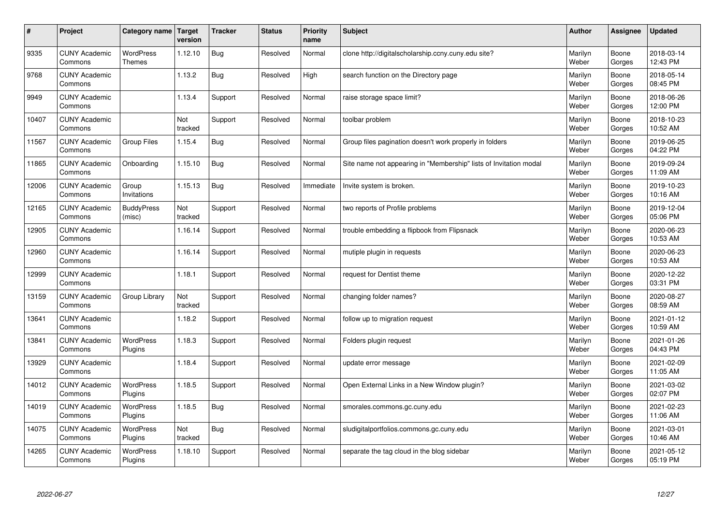| $\sharp$ | Project                         | Category name   Target      | version        | <b>Tracker</b> | <b>Status</b> | <b>Priority</b><br>name | <b>Subject</b>                                                    | <b>Author</b>    | Assignee        | <b>Updated</b>         |
|----------|---------------------------------|-----------------------------|----------------|----------------|---------------|-------------------------|-------------------------------------------------------------------|------------------|-----------------|------------------------|
| 9335     | <b>CUNY Academic</b><br>Commons | <b>WordPress</b><br>Themes  | 1.12.10        | <b>Bug</b>     | Resolved      | Normal                  | clone http://digitalscholarship.ccny.cuny.edu site?               | Marilyn<br>Weber | Boone<br>Gorges | 2018-03-14<br>12:43 PM |
| 9768     | <b>CUNY Academic</b><br>Commons |                             | 1.13.2         | <b>Bug</b>     | Resolved      | High                    | search function on the Directory page                             | Marilyn<br>Weber | Boone<br>Gorges | 2018-05-14<br>08:45 PM |
| 9949     | <b>CUNY Academic</b><br>Commons |                             | 1.13.4         | Support        | Resolved      | Normal                  | raise storage space limit?                                        | Marilyn<br>Weber | Boone<br>Gorges | 2018-06-26<br>12:00 PM |
| 10407    | <b>CUNY Academic</b><br>Commons |                             | Not<br>tracked | Support        | Resolved      | Normal                  | toolbar problem                                                   | Marilyn<br>Weber | Boone<br>Gorges | 2018-10-23<br>10:52 AM |
| 11567    | <b>CUNY Academic</b><br>Commons | <b>Group Files</b>          | 1.15.4         | Bug            | Resolved      | Normal                  | Group files pagination doesn't work properly in folders           | Marilyn<br>Weber | Boone<br>Gorges | 2019-06-25<br>04:22 PM |
| 11865    | <b>CUNY Academic</b><br>Commons | Onboarding                  | 1.15.10        | <b>Bug</b>     | Resolved      | Normal                  | Site name not appearing in "Membership" lists of Invitation modal | Marilyn<br>Weber | Boone<br>Gorges | 2019-09-24<br>11:09 AM |
| 12006    | <b>CUNY Academic</b><br>Commons | Group<br>Invitations        | 1.15.13        | <b>Bug</b>     | Resolved      | Immediate               | Invite system is broken.                                          | Marilyn<br>Weber | Boone<br>Gorges | 2019-10-23<br>10:16 AM |
| 12165    | <b>CUNY Academic</b><br>Commons | <b>BuddyPress</b><br>(misc) | Not<br>tracked | Support        | Resolved      | Normal                  | two reports of Profile problems                                   | Marilyn<br>Weber | Boone<br>Gorges | 2019-12-04<br>05:06 PM |
| 12905    | <b>CUNY Academic</b><br>Commons |                             | 1.16.14        | Support        | Resolved      | Normal                  | trouble embedding a flipbook from Flipsnack                       | Marilyn<br>Weber | Boone<br>Gorges | 2020-06-23<br>10:53 AM |
| 12960    | <b>CUNY Academic</b><br>Commons |                             | 1.16.14        | Support        | Resolved      | Normal                  | mutiple plugin in requests                                        | Marilyn<br>Weber | Boone<br>Gorges | 2020-06-23<br>10:53 AM |
| 12999    | <b>CUNY Academic</b><br>Commons |                             | 1.18.1         | Support        | Resolved      | Normal                  | request for Dentist theme                                         | Marilyn<br>Weber | Boone<br>Gorges | 2020-12-22<br>03:31 PM |
| 13159    | <b>CUNY Academic</b><br>Commons | Group Library               | Not<br>tracked | Support        | Resolved      | Normal                  | changing folder names?                                            | Marilyn<br>Weber | Boone<br>Gorges | 2020-08-27<br>08:59 AM |
| 13641    | <b>CUNY Academic</b><br>Commons |                             | 1.18.2         | Support        | Resolved      | Normal                  | follow up to migration request                                    | Marilyn<br>Weber | Boone<br>Gorges | 2021-01-12<br>10:59 AM |
| 13841    | <b>CUNY Academic</b><br>Commons | WordPress<br>Plugins        | 1.18.3         | Support        | Resolved      | Normal                  | Folders plugin request                                            | Marilyn<br>Weber | Boone<br>Gorges | 2021-01-26<br>04:43 PM |
| 13929    | <b>CUNY Academic</b><br>Commons |                             | 1.18.4         | Support        | Resolved      | Normal                  | update error message                                              | Marilyn<br>Weber | Boone<br>Gorges | 2021-02-09<br>11:05 AM |
| 14012    | <b>CUNY Academic</b><br>Commons | <b>WordPress</b><br>Plugins | 1.18.5         | Support        | Resolved      | Normal                  | Open External Links in a New Window plugin?                       | Marilyn<br>Weber | Boone<br>Gorges | 2021-03-02<br>02:07 PM |
| 14019    | <b>CUNY Academic</b><br>Commons | WordPress<br>Plugins        | 1.18.5         | <b>Bug</b>     | Resolved      | Normal                  | smorales.commons.gc.cuny.edu                                      | Marilyn<br>Weber | Boone<br>Gorges | 2021-02-23<br>11:06 AM |
| 14075    | <b>CUNY Academic</b><br>Commons | WordPress<br>Plugins        | Not<br>tracked | Bug            | Resolved      | Normal                  | sludigitalportfolios.commons.gc.cuny.edu                          | Marilyn<br>Weber | Boone<br>Gorges | 2021-03-01<br>10:46 AM |
| 14265    | <b>CUNY Academic</b><br>Commons | WordPress<br>Plugins        | 1.18.10        | Support        | Resolved      | Normal                  | separate the tag cloud in the blog sidebar                        | Marilyn<br>Weber | Boone<br>Gorges | 2021-05-12<br>05:19 PM |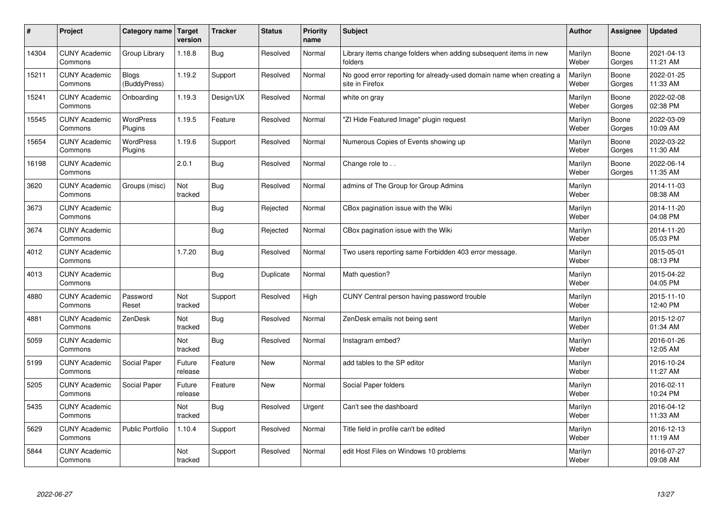| $\sharp$ | Project                         | Category name   Target      | version           | <b>Tracker</b> | <b>Status</b> | <b>Priority</b><br>name | <b>Subject</b>                                                                          | <b>Author</b>    | Assignee        | <b>Updated</b>         |
|----------|---------------------------------|-----------------------------|-------------------|----------------|---------------|-------------------------|-----------------------------------------------------------------------------------------|------------------|-----------------|------------------------|
| 14304    | <b>CUNY Academic</b><br>Commons | Group Library               | 1.18.8            | Bug            | Resolved      | Normal                  | Library items change folders when adding subsequent items in new<br>folders             | Marilyn<br>Weber | Boone<br>Gorges | 2021-04-13<br>11:21 AM |
| 15211    | <b>CUNY Academic</b><br>Commons | Blogs<br>(BuddyPress)       | 1.19.2            | Support        | Resolved      | Normal                  | No good error reporting for already-used domain name when creating a<br>site in Firefox | Marilyn<br>Weber | Boone<br>Gorges | 2022-01-25<br>11:33 AM |
| 15241    | <b>CUNY Academic</b><br>Commons | Onboarding                  | 1.19.3            | Design/UX      | Resolved      | Normal                  | white on gray                                                                           | Marilyn<br>Weber | Boone<br>Gorges | 2022-02-08<br>02:38 PM |
| 15545    | <b>CUNY Academic</b><br>Commons | <b>WordPress</b><br>Plugins | 1.19.5            | Feature        | Resolved      | Normal                  | "ZI Hide Featured Image" plugin request                                                 | Marilyn<br>Weber | Boone<br>Gorges | 2022-03-09<br>10:09 AM |
| 15654    | <b>CUNY Academic</b><br>Commons | <b>WordPress</b><br>Plugins | 1.19.6            | Support        | Resolved      | Normal                  | Numerous Copies of Events showing up                                                    | Marilyn<br>Weber | Boone<br>Gorges | 2022-03-22<br>11:30 AM |
| 16198    | <b>CUNY Academic</b><br>Commons |                             | 2.0.1             | Bug            | Resolved      | Normal                  | Change role to                                                                          | Marilyn<br>Weber | Boone<br>Gorges | 2022-06-14<br>11:35 AM |
| 3620     | <b>CUNY Academic</b><br>Commons | Groups (misc)               | Not<br>tracked    | <b>Bug</b>     | Resolved      | Normal                  | admins of The Group for Group Admins                                                    | Marilyn<br>Weber |                 | 2014-11-03<br>08:38 AM |
| 3673     | <b>CUNY Academic</b><br>Commons |                             |                   | Bug            | Rejected      | Normal                  | CBox pagination issue with the Wiki                                                     | Marilyn<br>Weber |                 | 2014-11-20<br>04:08 PM |
| 3674     | <b>CUNY Academic</b><br>Commons |                             |                   | Bug            | Rejected      | Normal                  | CBox pagination issue with the Wiki                                                     | Marilyn<br>Weber |                 | 2014-11-20<br>05:03 PM |
| 4012     | <b>CUNY Academic</b><br>Commons |                             | 1.7.20            | Bug            | Resolved      | Normal                  | Two users reporting same Forbidden 403 error message.                                   | Marilyn<br>Weber |                 | 2015-05-01<br>08:13 PM |
| 4013     | <b>CUNY Academic</b><br>Commons |                             |                   | <b>Bug</b>     | Duplicate     | Normal                  | Math question?                                                                          | Marilyn<br>Weber |                 | 2015-04-22<br>04:05 PM |
| 4880     | <b>CUNY Academic</b><br>Commons | Password<br>Reset           | Not<br>tracked    | Support        | Resolved      | High                    | CUNY Central person having password trouble                                             | Marilyn<br>Weber |                 | 2015-11-10<br>12:40 PM |
| 4881     | <b>CUNY Academic</b><br>Commons | ZenDesk                     | Not<br>tracked    | Bug            | Resolved      | Normal                  | ZenDesk emails not being sent                                                           | Marilyn<br>Weber |                 | 2015-12-07<br>01:34 AM |
| 5059     | <b>CUNY Academic</b><br>Commons |                             | Not<br>tracked    | Bug            | Resolved      | Normal                  | Instagram embed?                                                                        | Marilyn<br>Weber |                 | 2016-01-26<br>12:05 AM |
| 5199     | <b>CUNY Academic</b><br>Commons | Social Paper                | Future<br>release | Feature        | <b>New</b>    | Normal                  | add tables to the SP editor                                                             | Marilyn<br>Weber |                 | 2016-10-24<br>11:27 AM |
| 5205     | <b>CUNY Academic</b><br>Commons | Social Paper                | Future<br>release | Feature        | <b>New</b>    | Normal                  | Social Paper folders                                                                    | Marilyn<br>Weber |                 | 2016-02-11<br>10:24 PM |
| 5435     | <b>CUNY Academic</b><br>Commons |                             | Not<br>tracked    | Bug            | Resolved      | Urgent                  | Can't see the dashboard                                                                 | Marilyn<br>Weber |                 | 2016-04-12<br>11:33 AM |
| 5629     | <b>CUNY Academic</b><br>Commons | Public Portfolio            | 1.10.4            | Support        | Resolved      | Normal                  | Title field in profile can't be edited                                                  | Marilyn<br>Weber |                 | 2016-12-13<br>11:19 AM |
| 5844     | <b>CUNY Academic</b><br>Commons |                             | Not<br>tracked    | Support        | Resolved      | Normal                  | edit Host Files on Windows 10 problems                                                  | Marilyn<br>Weber |                 | 2016-07-27<br>09:08 AM |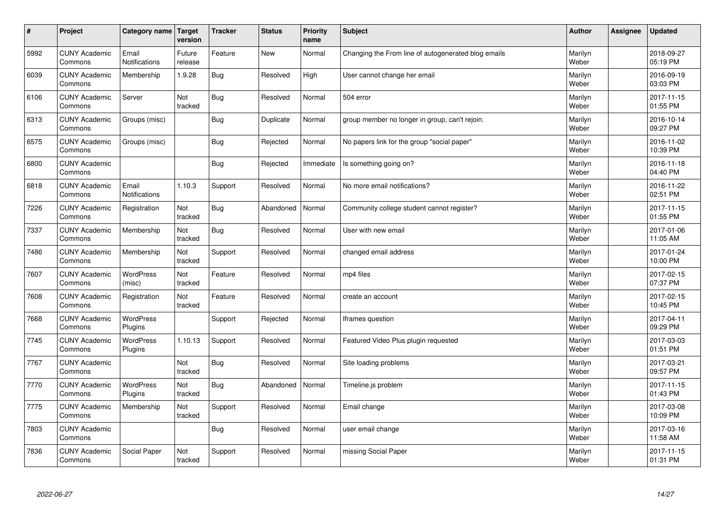| $\pmb{\#}$ | Project                         | Category name                 | Target<br>version | <b>Tracker</b> | <b>Status</b> | <b>Priority</b><br>name | <b>Subject</b>                                      | <b>Author</b>    | Assignee | <b>Updated</b>         |
|------------|---------------------------------|-------------------------------|-------------------|----------------|---------------|-------------------------|-----------------------------------------------------|------------------|----------|------------------------|
| 5992       | <b>CUNY Academic</b><br>Commons | Email<br><b>Notifications</b> | Future<br>release | Feature        | New           | Normal                  | Changing the From line of autogenerated blog emails | Marilyn<br>Weber |          | 2018-09-27<br>05:19 PM |
| 6039       | <b>CUNY Academic</b><br>Commons | Membership                    | 1.9.28            | Bug            | Resolved      | High                    | User cannot change her email                        | Marilyn<br>Weber |          | 2016-09-19<br>03:03 PM |
| 6106       | <b>CUNY Academic</b><br>Commons | Server                        | Not<br>tracked    | Bug            | Resolved      | Normal                  | 504 error                                           | Marilyn<br>Weber |          | 2017-11-15<br>01:55 PM |
| 6313       | <b>CUNY Academic</b><br>Commons | Groups (misc)                 |                   | Bug            | Duplicate     | Normal                  | group member no longer in group, can't rejoin.      | Marilyn<br>Weber |          | 2016-10-14<br>09:27 PM |
| 6575       | <b>CUNY Academic</b><br>Commons | Groups (misc)                 |                   | <b>Bug</b>     | Rejected      | Normal                  | No papers link for the group "social paper"         | Marilyn<br>Weber |          | 2016-11-02<br>10:39 PM |
| 6800       | <b>CUNY Academic</b><br>Commons |                               |                   | <b>Bug</b>     | Rejected      | Immediate               | Is something going on?                              | Marilyn<br>Weber |          | 2016-11-18<br>04:40 PM |
| 6818       | <b>CUNY Academic</b><br>Commons | Email<br>Notifications        | 1.10.3            | Support        | Resolved      | Normal                  | No more email notifications?                        | Marilyn<br>Weber |          | 2016-11-22<br>02:51 PM |
| 7226       | <b>CUNY Academic</b><br>Commons | Registration                  | Not<br>tracked    | <b>Bug</b>     | Abandoned     | Normal                  | Community college student cannot register?          | Marilyn<br>Weber |          | 2017-11-15<br>01:55 PM |
| 7337       | <b>CUNY Academic</b><br>Commons | Membership                    | Not<br>tracked    | <b>Bug</b>     | Resolved      | Normal                  | User with new email                                 | Marilyn<br>Weber |          | 2017-01-06<br>11:05 AM |
| 7486       | <b>CUNY Academic</b><br>Commons | Membership                    | Not<br>tracked    | Support        | Resolved      | Normal                  | changed email address                               | Marilyn<br>Weber |          | 2017-01-24<br>10:00 PM |
| 7607       | <b>CUNY Academic</b><br>Commons | <b>WordPress</b><br>(misc)    | Not<br>tracked    | Feature        | Resolved      | Normal                  | mp4 files                                           | Marilyn<br>Weber |          | 2017-02-15<br>07:37 PM |
| 7608       | <b>CUNY Academic</b><br>Commons | Registration                  | Not<br>tracked    | Feature        | Resolved      | Normal                  | create an account                                   | Marilyn<br>Weber |          | 2017-02-15<br>10:45 PM |
| 7668       | <b>CUNY Academic</b><br>Commons | <b>WordPress</b><br>Plugins   |                   | Support        | Rejected      | Normal                  | lframes question                                    | Marilyn<br>Weber |          | 2017-04-11<br>09:29 PM |
| 7745       | <b>CUNY Academic</b><br>Commons | <b>WordPress</b><br>Plugins   | 1.10.13           | Support        | Resolved      | Normal                  | Featured Video Plus plugin requested                | Marilyn<br>Weber |          | 2017-03-03<br>01:51 PM |
| 7767       | <b>CUNY Academic</b><br>Commons |                               | Not<br>tracked    | Bug            | Resolved      | Normal                  | Site loading problems                               | Marilyn<br>Weber |          | 2017-03-21<br>09:57 PM |
| 7770       | <b>CUNY Academic</b><br>Commons | <b>WordPress</b><br>Plugins   | Not<br>tracked    | Bug            | Abandoned     | Normal                  | Timeline.js problem                                 | Marilyn<br>Weber |          | 2017-11-15<br>01:43 PM |
| 7775       | <b>CUNY Academic</b><br>Commons | Membership                    | Not<br>tracked    | Support        | Resolved      | Normal                  | Email change                                        | Marilyn<br>Weber |          | 2017-03-08<br>10:09 PM |
| 7803       | <b>CUNY Academic</b><br>Commons |                               |                   | <b>Bug</b>     | Resolved      | Normal                  | user email change                                   | Marilyn<br>Weber |          | 2017-03-16<br>11:58 AM |
| 7836       | <b>CUNY Academic</b><br>Commons | Social Paper                  | Not<br>tracked    | Support        | Resolved      | Normal                  | missing Social Paper                                | Marilyn<br>Weber |          | 2017-11-15<br>01:31 PM |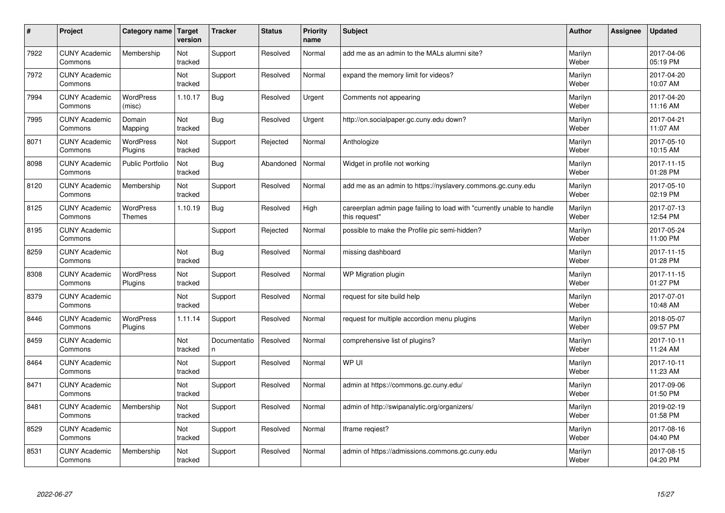| $\vert$ # | Project                         | Category name                     | Target<br>version | <b>Tracker</b>     | <b>Status</b> | <b>Priority</b><br>name | <b>Subject</b>                                                                          | <b>Author</b>    | Assignee | <b>Updated</b>         |
|-----------|---------------------------------|-----------------------------------|-------------------|--------------------|---------------|-------------------------|-----------------------------------------------------------------------------------------|------------------|----------|------------------------|
| 7922      | <b>CUNY Academic</b><br>Commons | Membership                        | Not<br>tracked    | Support            | Resolved      | Normal                  | add me as an admin to the MALs alumni site?                                             | Marilyn<br>Weber |          | 2017-04-06<br>05:19 PM |
| 7972      | <b>CUNY Academic</b><br>Commons |                                   | Not<br>tracked    | Support            | Resolved      | Normal                  | expand the memory limit for videos?                                                     | Marilyn<br>Weber |          | 2017-04-20<br>10:07 AM |
| 7994      | <b>CUNY Academic</b><br>Commons | <b>WordPress</b><br>(misc)        | 1.10.17           | <b>Bug</b>         | Resolved      | Urgent                  | Comments not appearing                                                                  | Marilyn<br>Weber |          | 2017-04-20<br>11:16 AM |
| 7995      | <b>CUNY Academic</b><br>Commons | Domain<br>Mapping                 | Not<br>tracked    | <b>Bug</b>         | Resolved      | Urgent                  | http://on.socialpaper.gc.cuny.edu down?                                                 | Marilyn<br>Weber |          | 2017-04-21<br>11:07 AM |
| 8071      | <b>CUNY Academic</b><br>Commons | <b>WordPress</b><br>Plugins       | Not<br>tracked    | Support            | Rejected      | Normal                  | Anthologize                                                                             | Marilyn<br>Weber |          | 2017-05-10<br>10:15 AM |
| 8098      | <b>CUNY Academic</b><br>Commons | <b>Public Portfolio</b>           | Not<br>tracked    | Bug                | Abandoned     | Normal                  | Widget in profile not working                                                           | Marilyn<br>Weber |          | 2017-11-15<br>01:28 PM |
| 8120      | <b>CUNY Academic</b><br>Commons | Membership                        | Not<br>tracked    | Support            | Resolved      | Normal                  | add me as an admin to https://nyslavery.commons.gc.cuny.edu                             | Marilyn<br>Weber |          | 2017-05-10<br>02:19 PM |
| 8125      | <b>CUNY Academic</b><br>Commons | <b>WordPress</b><br><b>Themes</b> | 1.10.19           | Bug                | Resolved      | High                    | careerplan admin page failing to load with "currently unable to handle<br>this request" | Marilyn<br>Weber |          | 2017-07-13<br>12:54 PM |
| 8195      | <b>CUNY Academic</b><br>Commons |                                   |                   | Support            | Rejected      | Normal                  | possible to make the Profile pic semi-hidden?                                           | Marilyn<br>Weber |          | 2017-05-24<br>11:00 PM |
| 8259      | <b>CUNY Academic</b><br>Commons |                                   | Not<br>tracked    | <b>Bug</b>         | Resolved      | Normal                  | missing dashboard                                                                       | Marilyn<br>Weber |          | 2017-11-15<br>01:28 PM |
| 8308      | <b>CUNY Academic</b><br>Commons | <b>WordPress</b><br>Plugins       | Not<br>tracked    | Support            | Resolved      | Normal                  | WP Migration plugin                                                                     | Marilyn<br>Weber |          | 2017-11-15<br>01:27 PM |
| 8379      | <b>CUNY Academic</b><br>Commons |                                   | Not<br>tracked    | Support            | Resolved      | Normal                  | request for site build help                                                             | Marilyn<br>Weber |          | 2017-07-01<br>10:48 AM |
| 8446      | <b>CUNY Academic</b><br>Commons | <b>WordPress</b><br>Plugins       | 1.11.14           | Support            | Resolved      | Normal                  | request for multiple accordion menu plugins                                             | Marilyn<br>Weber |          | 2018-05-07<br>09:57 PM |
| 8459      | <b>CUNY Academic</b><br>Commons |                                   | Not<br>tracked    | Documentatio<br>n. | Resolved      | Normal                  | comprehensive list of plugins?                                                          | Marilyn<br>Weber |          | 2017-10-11<br>11:24 AM |
| 8464      | <b>CUNY Academic</b><br>Commons |                                   | Not<br>tracked    | Support            | Resolved      | Normal                  | WP UI                                                                                   | Marilyn<br>Weber |          | 2017-10-11<br>11:23 AM |
| 8471      | <b>CUNY Academic</b><br>Commons |                                   | Not<br>tracked    | Support            | Resolved      | Normal                  | admin at https://commons.gc.cuny.edu/                                                   | Marilyn<br>Weber |          | 2017-09-06<br>01:50 PM |
| 8481      | <b>CUNY Academic</b><br>Commons | Membership                        | Not<br>tracked    | Support            | Resolved      | Normal                  | admin of http://swipanalytic.org/organizers/                                            | Marilyn<br>Weber |          | 2019-02-19<br>01:58 PM |
| 8529      | <b>CUNY Academic</b><br>Commons |                                   | Not<br>tracked    | Support            | Resolved      | Normal                  | Iframe regiest?                                                                         | Marilyn<br>Weber |          | 2017-08-16<br>04:40 PM |
| 8531      | <b>CUNY Academic</b><br>Commons | Membership                        | Not<br>tracked    | Support            | Resolved      | Normal                  | admin of https://admissions.commons.gc.cuny.edu                                         | Marilyn<br>Weber |          | 2017-08-15<br>04:20 PM |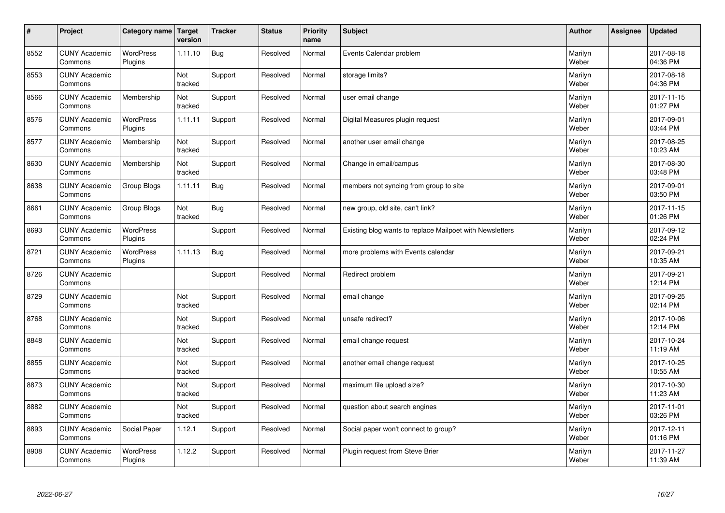| $\sharp$ | Project                         | Category name               | Target<br>version | <b>Tracker</b> | <b>Status</b> | <b>Priority</b><br>name | <b>Subject</b>                                           | <b>Author</b>    | Assignee | <b>Updated</b>         |
|----------|---------------------------------|-----------------------------|-------------------|----------------|---------------|-------------------------|----------------------------------------------------------|------------------|----------|------------------------|
| 8552     | <b>CUNY Academic</b><br>Commons | <b>WordPress</b><br>Plugins | 1.11.10           | Bug            | Resolved      | Normal                  | Events Calendar problem                                  | Marilyn<br>Weber |          | 2017-08-18<br>04:36 PM |
| 8553     | <b>CUNY Academic</b><br>Commons |                             | Not<br>tracked    | Support        | Resolved      | Normal                  | storage limits?                                          | Marilyn<br>Weber |          | 2017-08-18<br>04:36 PM |
| 8566     | <b>CUNY Academic</b><br>Commons | Membership                  | Not<br>tracked    | Support        | Resolved      | Normal                  | user email change                                        | Marilyn<br>Weber |          | 2017-11-15<br>01:27 PM |
| 8576     | <b>CUNY Academic</b><br>Commons | <b>WordPress</b><br>Plugins | 1.11.11           | Support        | Resolved      | Normal                  | Digital Measures plugin request                          | Marilyn<br>Weber |          | 2017-09-01<br>03:44 PM |
| 8577     | <b>CUNY Academic</b><br>Commons | Membership                  | Not<br>tracked    | Support        | Resolved      | Normal                  | another user email change                                | Marilyn<br>Weber |          | 2017-08-25<br>10:23 AM |
| 8630     | <b>CUNY Academic</b><br>Commons | Membership                  | Not<br>tracked    | Support        | Resolved      | Normal                  | Change in email/campus                                   | Marilyn<br>Weber |          | 2017-08-30<br>03:48 PM |
| 8638     | <b>CUNY Academic</b><br>Commons | Group Blogs                 | 1.11.11           | <b>Bug</b>     | Resolved      | Normal                  | members not syncing from group to site                   | Marilyn<br>Weber |          | 2017-09-01<br>03:50 PM |
| 8661     | <b>CUNY Academic</b><br>Commons | Group Blogs                 | Not<br>tracked    | <b>Bug</b>     | Resolved      | Normal                  | new group, old site, can't link?                         | Marilyn<br>Weber |          | 2017-11-15<br>01:26 PM |
| 8693     | <b>CUNY Academic</b><br>Commons | <b>WordPress</b><br>Plugins |                   | Support        | Resolved      | Normal                  | Existing blog wants to replace Mailpoet with Newsletters | Marilyn<br>Weber |          | 2017-09-12<br>02:24 PM |
| 8721     | <b>CUNY Academic</b><br>Commons | <b>WordPress</b><br>Plugins | 1.11.13           | <b>Bug</b>     | Resolved      | Normal                  | more problems with Events calendar                       | Marilyn<br>Weber |          | 2017-09-21<br>10:35 AM |
| 8726     | <b>CUNY Academic</b><br>Commons |                             |                   | Support        | Resolved      | Normal                  | Redirect problem                                         | Marilyn<br>Weber |          | 2017-09-21<br>12:14 PM |
| 8729     | <b>CUNY Academic</b><br>Commons |                             | Not<br>tracked    | Support        | Resolved      | Normal                  | email change                                             | Marilyn<br>Weber |          | 2017-09-25<br>02:14 PM |
| 8768     | <b>CUNY Academic</b><br>Commons |                             | Not<br>tracked    | Support        | Resolved      | Normal                  | unsafe redirect?                                         | Marilyn<br>Weber |          | 2017-10-06<br>12:14 PM |
| 8848     | <b>CUNY Academic</b><br>Commons |                             | Not<br>tracked    | Support        | Resolved      | Normal                  | email change request                                     | Marilyn<br>Weber |          | 2017-10-24<br>11:19 AM |
| 8855     | <b>CUNY Academic</b><br>Commons |                             | Not<br>tracked    | Support        | Resolved      | Normal                  | another email change request                             | Marilyn<br>Weber |          | 2017-10-25<br>10:55 AM |
| 8873     | <b>CUNY Academic</b><br>Commons |                             | Not<br>tracked    | Support        | Resolved      | Normal                  | maximum file upload size?                                | Marilyn<br>Weber |          | 2017-10-30<br>11:23 AM |
| 8882     | <b>CUNY Academic</b><br>Commons |                             | Not<br>tracked    | Support        | Resolved      | Normal                  | question about search engines                            | Marilyn<br>Weber |          | 2017-11-01<br>03:26 PM |
| 8893     | <b>CUNY Academic</b><br>Commons | Social Paper                | 1.12.1            | Support        | Resolved      | Normal                  | Social paper won't connect to group?                     | Marilyn<br>Weber |          | 2017-12-11<br>01:16 PM |
| 8908     | <b>CUNY Academic</b><br>Commons | <b>WordPress</b><br>Plugins | 1.12.2            | Support        | Resolved      | Normal                  | Plugin request from Steve Brier                          | Marilyn<br>Weber |          | 2017-11-27<br>11:39 AM |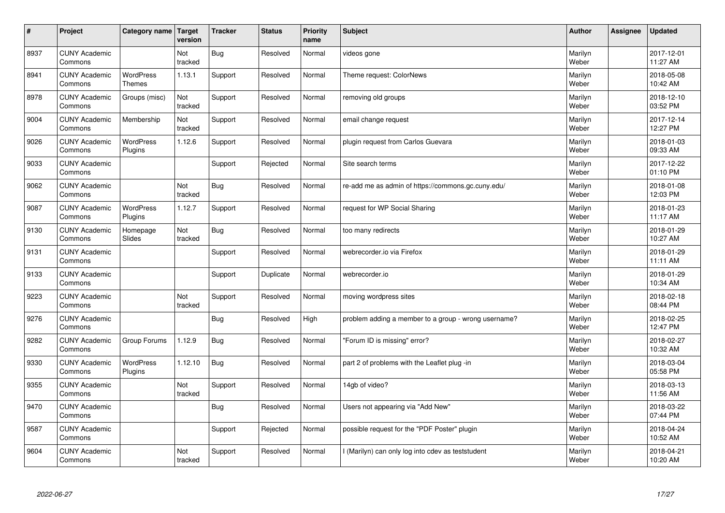| #    | Project                         | Category name Target              | version        | <b>Tracker</b> | <b>Status</b> | <b>Priority</b><br>name | <b>Subject</b>                                       | <b>Author</b>    | Assignee | <b>Updated</b>         |
|------|---------------------------------|-----------------------------------|----------------|----------------|---------------|-------------------------|------------------------------------------------------|------------------|----------|------------------------|
| 8937 | <b>CUNY Academic</b><br>Commons |                                   | Not<br>tracked | <b>Bug</b>     | Resolved      | Normal                  | videos gone                                          | Marilyn<br>Weber |          | 2017-12-01<br>11:27 AM |
| 8941 | <b>CUNY Academic</b><br>Commons | <b>WordPress</b><br><b>Themes</b> | 1.13.1         | Support        | Resolved      | Normal                  | Theme request: ColorNews                             | Marilyn<br>Weber |          | 2018-05-08<br>10:42 AM |
| 8978 | <b>CUNY Academic</b><br>Commons | Groups (misc)                     | Not<br>tracked | Support        | Resolved      | Normal                  | removing old groups                                  | Marilyn<br>Weber |          | 2018-12-10<br>03:52 PM |
| 9004 | <b>CUNY Academic</b><br>Commons | Membership                        | Not<br>tracked | Support        | Resolved      | Normal                  | email change request                                 | Marilyn<br>Weber |          | 2017-12-14<br>12:27 PM |
| 9026 | <b>CUNY Academic</b><br>Commons | <b>WordPress</b><br>Plugins       | 1.12.6         | Support        | Resolved      | Normal                  | plugin request from Carlos Guevara                   | Marilyn<br>Weber |          | 2018-01-03<br>09:33 AM |
| 9033 | <b>CUNY Academic</b><br>Commons |                                   |                | Support        | Rejected      | Normal                  | Site search terms                                    | Marilyn<br>Weber |          | 2017-12-22<br>01:10 PM |
| 9062 | <b>CUNY Academic</b><br>Commons |                                   | Not<br>tracked | <b>Bug</b>     | Resolved      | Normal                  | re-add me as admin of https://commons.gc.cuny.edu/   | Marilyn<br>Weber |          | 2018-01-08<br>12:03 PM |
| 9087 | <b>CUNY Academic</b><br>Commons | <b>WordPress</b><br>Plugins       | 1.12.7         | Support        | Resolved      | Normal                  | request for WP Social Sharing                        | Marilyn<br>Weber |          | 2018-01-23<br>11:17 AM |
| 9130 | <b>CUNY Academic</b><br>Commons | Homepage<br>Slides                | Not<br>tracked | Bug            | Resolved      | Normal                  | too many redirects                                   | Marilyn<br>Weber |          | 2018-01-29<br>10:27 AM |
| 9131 | <b>CUNY Academic</b><br>Commons |                                   |                | Support        | Resolved      | Normal                  | webrecorder.io via Firefox                           | Marilyn<br>Weber |          | 2018-01-29<br>11:11 AM |
| 9133 | <b>CUNY Academic</b><br>Commons |                                   |                | Support        | Duplicate     | Normal                  | webrecorder.io                                       | Marilyn<br>Weber |          | 2018-01-29<br>10:34 AM |
| 9223 | <b>CUNY Academic</b><br>Commons |                                   | Not<br>tracked | Support        | Resolved      | Normal                  | moving wordpress sites                               | Marilyn<br>Weber |          | 2018-02-18<br>08:44 PM |
| 9276 | <b>CUNY Academic</b><br>Commons |                                   |                | <b>Bug</b>     | Resolved      | High                    | problem adding a member to a group - wrong username? | Marilyn<br>Weber |          | 2018-02-25<br>12:47 PM |
| 9282 | <b>CUNY Academic</b><br>Commons | Group Forums                      | 1.12.9         | <b>Bug</b>     | Resolved      | Normal                  | 'Forum ID is missing" error?                         | Marilyn<br>Weber |          | 2018-02-27<br>10:32 AM |
| 9330 | <b>CUNY Academic</b><br>Commons | <b>WordPress</b><br>Plugins       | 1.12.10        | Bug            | Resolved      | Normal                  | part 2 of problems with the Leaflet plug -in         | Marilyn<br>Weber |          | 2018-03-04<br>05:58 PM |
| 9355 | <b>CUNY Academic</b><br>Commons |                                   | Not<br>tracked | Support        | Resolved      | Normal                  | 14gb of video?                                       | Marilyn<br>Weber |          | 2018-03-13<br>11:56 AM |
| 9470 | <b>CUNY Academic</b><br>Commons |                                   |                | Bug            | Resolved      | Normal                  | Users not appearing via "Add New"                    | Marilyn<br>Weber |          | 2018-03-22<br>07:44 PM |
| 9587 | <b>CUNY Academic</b><br>Commons |                                   |                | Support        | Rejected      | Normal                  | possible request for the "PDF Poster" plugin         | Marilyn<br>Weber |          | 2018-04-24<br>10:52 AM |
| 9604 | <b>CUNY Academic</b><br>Commons |                                   | Not<br>tracked | Support        | Resolved      | Normal                  | (Marilyn) can only log into cdev as teststudent      | Marilyn<br>Weber |          | 2018-04-21<br>10:20 AM |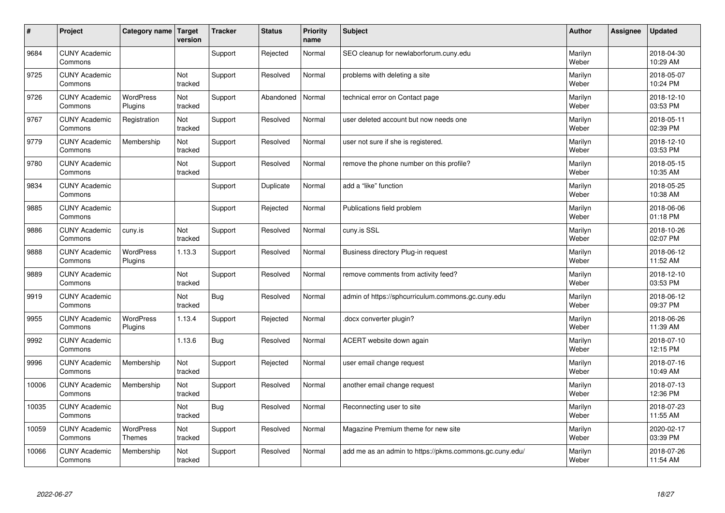| $\sharp$ | Project                         | Category name               | Target<br>version | <b>Tracker</b> | <b>Status</b> | <b>Priority</b><br>name | <b>Subject</b>                                          | <b>Author</b>    | <b>Assignee</b> | <b>Updated</b>         |
|----------|---------------------------------|-----------------------------|-------------------|----------------|---------------|-------------------------|---------------------------------------------------------|------------------|-----------------|------------------------|
| 9684     | <b>CUNY Academic</b><br>Commons |                             |                   | Support        | Rejected      | Normal                  | SEO cleanup for newlaborforum.cuny.edu                  | Marilyn<br>Weber |                 | 2018-04-30<br>10:29 AM |
| 9725     | <b>CUNY Academic</b><br>Commons |                             | Not<br>tracked    | Support        | Resolved      | Normal                  | problems with deleting a site                           | Marilyn<br>Weber |                 | 2018-05-07<br>10:24 PM |
| 9726     | <b>CUNY Academic</b><br>Commons | <b>WordPress</b><br>Plugins | Not<br>tracked    | Support        | Abandoned     | Normal                  | technical error on Contact page                         | Marilyn<br>Weber |                 | 2018-12-10<br>03:53 PM |
| 9767     | <b>CUNY Academic</b><br>Commons | Registration                | Not<br>tracked    | Support        | Resolved      | Normal                  | user deleted account but now needs one                  | Marilyn<br>Weber |                 | 2018-05-11<br>02:39 PM |
| 9779     | <b>CUNY Academic</b><br>Commons | Membership                  | Not<br>tracked    | Support        | Resolved      | Normal                  | user not sure if she is registered.                     | Marilyn<br>Weber |                 | 2018-12-10<br>03:53 PM |
| 9780     | <b>CUNY Academic</b><br>Commons |                             | Not<br>tracked    | Support        | Resolved      | Normal                  | remove the phone number on this profile?                | Marilyn<br>Weber |                 | 2018-05-15<br>10:35 AM |
| 9834     | <b>CUNY Academic</b><br>Commons |                             |                   | Support        | Duplicate     | Normal                  | add a "like" function                                   | Marilyn<br>Weber |                 | 2018-05-25<br>10:38 AM |
| 9885     | <b>CUNY Academic</b><br>Commons |                             |                   | Support        | Rejected      | Normal                  | Publications field problem                              | Marilyn<br>Weber |                 | 2018-06-06<br>01:18 PM |
| 9886     | <b>CUNY Academic</b><br>Commons | cuny.is                     | Not<br>tracked    | Support        | Resolved      | Normal                  | cuny.is SSL                                             | Marilyn<br>Weber |                 | 2018-10-26<br>02:07 PM |
| 9888     | <b>CUNY Academic</b><br>Commons | <b>WordPress</b><br>Plugins | 1.13.3            | Support        | Resolved      | Normal                  | Business directory Plug-in request                      | Marilyn<br>Weber |                 | 2018-06-12<br>11:52 AM |
| 9889     | <b>CUNY Academic</b><br>Commons |                             | Not<br>tracked    | Support        | Resolved      | Normal                  | remove comments from activity feed?                     | Marilyn<br>Weber |                 | 2018-12-10<br>03:53 PM |
| 9919     | <b>CUNY Academic</b><br>Commons |                             | Not<br>tracked    | <b>Bug</b>     | Resolved      | Normal                  | admin of https://sphcurriculum.commons.gc.cuny.edu      | Marilyn<br>Weber |                 | 2018-06-12<br>09:37 PM |
| 9955     | <b>CUNY Academic</b><br>Commons | <b>WordPress</b><br>Plugins | 1.13.4            | Support        | Rejected      | Normal                  | docx converter plugin?                                  | Marilyn<br>Weber |                 | 2018-06-26<br>11:39 AM |
| 9992     | <b>CUNY Academic</b><br>Commons |                             | 1.13.6            | <b>Bug</b>     | Resolved      | Normal                  | ACERT website down again                                | Marilyn<br>Weber |                 | 2018-07-10<br>12:15 PM |
| 9996     | <b>CUNY Academic</b><br>Commons | Membership                  | Not<br>tracked    | Support        | Rejected      | Normal                  | user email change request                               | Marilyn<br>Weber |                 | 2018-07-16<br>10:49 AM |
| 10006    | <b>CUNY Academic</b><br>Commons | Membership                  | Not<br>tracked    | Support        | Resolved      | Normal                  | another email change request                            | Marilyn<br>Weber |                 | 2018-07-13<br>12:36 PM |
| 10035    | <b>CUNY Academic</b><br>Commons |                             | Not<br>tracked    | <b>Bug</b>     | Resolved      | Normal                  | Reconnecting user to site                               | Marilyn<br>Weber |                 | 2018-07-23<br>11:55 AM |
| 10059    | <b>CUNY Academic</b><br>Commons | <b>WordPress</b><br>Themes  | Not<br>tracked    | Support        | Resolved      | Normal                  | Magazine Premium theme for new site                     | Marilyn<br>Weber |                 | 2020-02-17<br>03:39 PM |
| 10066    | <b>CUNY Academic</b><br>Commons | Membership                  | Not<br>tracked    | Support        | Resolved      | Normal                  | add me as an admin to https://pkms.commons.gc.cuny.edu/ | Marilyn<br>Weber |                 | 2018-07-26<br>11:54 AM |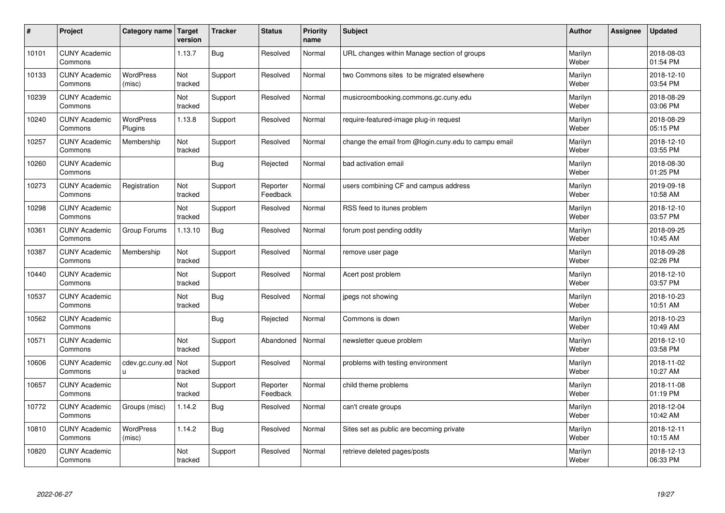| $\sharp$ | Project                         | Category name               | Target<br>version | <b>Tracker</b> | <b>Status</b>        | <b>Priority</b><br>name | <b>Subject</b>                                       | <b>Author</b>    | <b>Assignee</b> | <b>Updated</b>         |
|----------|---------------------------------|-----------------------------|-------------------|----------------|----------------------|-------------------------|------------------------------------------------------|------------------|-----------------|------------------------|
| 10101    | <b>CUNY Academic</b><br>Commons |                             | 1.13.7            | <b>Bug</b>     | Resolved             | Normal                  | URL changes within Manage section of groups          | Marilyn<br>Weber |                 | 2018-08-03<br>01:54 PM |
| 10133    | <b>CUNY Academic</b><br>Commons | <b>WordPress</b><br>(misc)  | Not<br>tracked    | Support        | Resolved             | Normal                  | two Commons sites to be migrated elsewhere           | Marilyn<br>Weber |                 | 2018-12-10<br>03:54 PM |
| 10239    | <b>CUNY Academic</b><br>Commons |                             | Not<br>tracked    | Support        | Resolved             | Normal                  | musicroombooking.commons.gc.cuny.edu                 | Marilyn<br>Weber |                 | 2018-08-29<br>03:06 PM |
| 10240    | <b>CUNY Academic</b><br>Commons | <b>WordPress</b><br>Plugins | 1.13.8            | Support        | Resolved             | Normal                  | require-featured-image plug-in request               | Marilyn<br>Weber |                 | 2018-08-29<br>05:15 PM |
| 10257    | <b>CUNY Academic</b><br>Commons | Membership                  | Not<br>tracked    | Support        | Resolved             | Normal                  | change the email from @login.cuny.edu to campu email | Marilyn<br>Weber |                 | 2018-12-10<br>03:55 PM |
| 10260    | <b>CUNY Academic</b><br>Commons |                             |                   | <b>Bug</b>     | Rejected             | Normal                  | bad activation email                                 | Marilyn<br>Weber |                 | 2018-08-30<br>01:25 PM |
| 10273    | <b>CUNY Academic</b><br>Commons | Registration                | Not<br>tracked    | Support        | Reporter<br>Feedback | Normal                  | users combining CF and campus address                | Marilyn<br>Weber |                 | 2019-09-18<br>10:58 AM |
| 10298    | <b>CUNY Academic</b><br>Commons |                             | Not<br>tracked    | Support        | Resolved             | Normal                  | RSS feed to itunes problem                           | Marilyn<br>Weber |                 | 2018-12-10<br>03:57 PM |
| 10361    | <b>CUNY Academic</b><br>Commons | Group Forums                | 1.13.10           | <b>Bug</b>     | Resolved             | Normal                  | forum post pending oddity                            | Marilyn<br>Weber |                 | 2018-09-25<br>10:45 AM |
| 10387    | <b>CUNY Academic</b><br>Commons | Membership                  | Not<br>tracked    | Support        | Resolved             | Normal                  | remove user page                                     | Marilyn<br>Weber |                 | 2018-09-28<br>02:26 PM |
| 10440    | <b>CUNY Academic</b><br>Commons |                             | Not<br>tracked    | Support        | Resolved             | Normal                  | Acert post problem                                   | Marilyn<br>Weber |                 | 2018-12-10<br>03:57 PM |
| 10537    | <b>CUNY Academic</b><br>Commons |                             | Not<br>tracked    | <b>Bug</b>     | Resolved             | Normal                  | jpegs not showing                                    | Marilyn<br>Weber |                 | 2018-10-23<br>10:51 AM |
| 10562    | <b>CUNY Academic</b><br>Commons |                             |                   | Bug            | Rejected             | Normal                  | Commons is down                                      | Marilyn<br>Weber |                 | 2018-10-23<br>10:49 AM |
| 10571    | <b>CUNY Academic</b><br>Commons |                             | Not<br>tracked    | Support        | Abandoned            | Normal                  | newsletter queue problem                             | Marilyn<br>Weber |                 | 2018-12-10<br>03:58 PM |
| 10606    | <b>CUNY Academic</b><br>Commons | cdev.gc.cuny.ed<br>u        | Not<br>tracked    | Support        | Resolved             | Normal                  | problems with testing environment                    | Marilyn<br>Weber |                 | 2018-11-02<br>10:27 AM |
| 10657    | <b>CUNY Academic</b><br>Commons |                             | Not<br>tracked    | Support        | Reporter<br>Feedback | Normal                  | child theme problems                                 | Marilyn<br>Weber |                 | 2018-11-08<br>01:19 PM |
| 10772    | <b>CUNY Academic</b><br>Commons | Groups (misc)               | 1.14.2            | Bug            | Resolved             | Normal                  | can't create groups                                  | Marilyn<br>Weber |                 | 2018-12-04<br>10:42 AM |
| 10810    | <b>CUNY Academic</b><br>Commons | WordPress<br>(misc)         | 1.14.2            | <b>Bug</b>     | Resolved             | Normal                  | Sites set as public are becoming private             | Marilyn<br>Weber |                 | 2018-12-11<br>10:15 AM |
| 10820    | <b>CUNY Academic</b><br>Commons |                             | Not<br>tracked    | Support        | Resolved             | Normal                  | retrieve deleted pages/posts                         | Marilyn<br>Weber |                 | 2018-12-13<br>06:33 PM |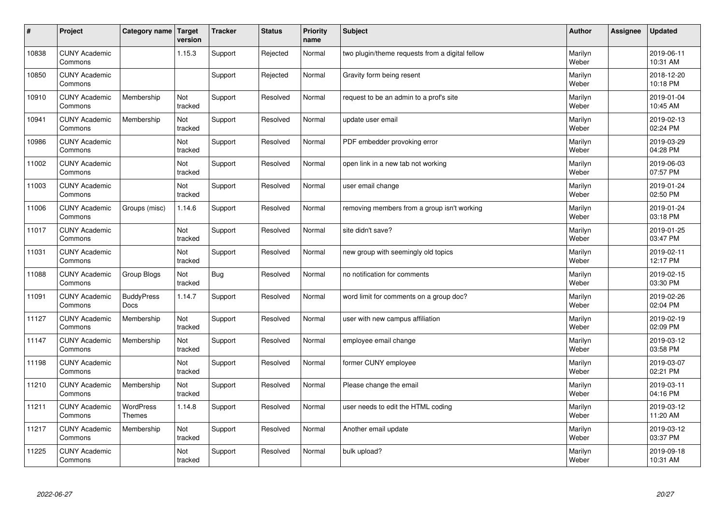| $\sharp$ | Project                         | Category name                    | Target<br>version | <b>Tracker</b> | <b>Status</b> | <b>Priority</b><br>name | <b>Subject</b>                                  | <b>Author</b>    | Assignee | <b>Updated</b>         |
|----------|---------------------------------|----------------------------------|-------------------|----------------|---------------|-------------------------|-------------------------------------------------|------------------|----------|------------------------|
| 10838    | <b>CUNY Academic</b><br>Commons |                                  | 1.15.3            | Support        | Rejected      | Normal                  | two plugin/theme requests from a digital fellow | Marilyn<br>Weber |          | 2019-06-11<br>10:31 AM |
| 10850    | <b>CUNY Academic</b><br>Commons |                                  |                   | Support        | Rejected      | Normal                  | Gravity form being resent                       | Marilyn<br>Weber |          | 2018-12-20<br>10:18 PM |
| 10910    | <b>CUNY Academic</b><br>Commons | Membership                       | Not<br>tracked    | Support        | Resolved      | Normal                  | request to be an admin to a prof's site         | Marilyn<br>Weber |          | 2019-01-04<br>10:45 AM |
| 10941    | <b>CUNY Academic</b><br>Commons | Membership                       | Not<br>tracked    | Support        | Resolved      | Normal                  | update user email                               | Marilyn<br>Weber |          | 2019-02-13<br>02:24 PM |
| 10986    | <b>CUNY Academic</b><br>Commons |                                  | Not<br>tracked    | Support        | Resolved      | Normal                  | PDF embedder provoking error                    | Marilyn<br>Weber |          | 2019-03-29<br>04:28 PM |
| 11002    | <b>CUNY Academic</b><br>Commons |                                  | Not<br>tracked    | Support        | Resolved      | Normal                  | open link in a new tab not working              | Marilyn<br>Weber |          | 2019-06-03<br>07:57 PM |
| 11003    | <b>CUNY Academic</b><br>Commons |                                  | Not<br>tracked    | Support        | Resolved      | Normal                  | user email change                               | Marilyn<br>Weber |          | 2019-01-24<br>02:50 PM |
| 11006    | <b>CUNY Academic</b><br>Commons | Groups (misc)                    | 1.14.6            | Support        | Resolved      | Normal                  | removing members from a group isn't working     | Marilyn<br>Weber |          | 2019-01-24<br>03:18 PM |
| 11017    | <b>CUNY Academic</b><br>Commons |                                  | Not<br>tracked    | Support        | Resolved      | Normal                  | site didn't save?                               | Marilyn<br>Weber |          | 2019-01-25<br>03:47 PM |
| 11031    | <b>CUNY Academic</b><br>Commons |                                  | Not<br>tracked    | Support        | Resolved      | Normal                  | new group with seemingly old topics             | Marilyn<br>Weber |          | 2019-02-11<br>12:17 PM |
| 11088    | <b>CUNY Academic</b><br>Commons | Group Blogs                      | Not<br>tracked    | <b>Bug</b>     | Resolved      | Normal                  | no notification for comments                    | Marilyn<br>Weber |          | 2019-02-15<br>03:30 PM |
| 11091    | <b>CUNY Academic</b><br>Commons | <b>BuddyPress</b><br><b>Docs</b> | 1.14.7            | Support        | Resolved      | Normal                  | word limit for comments on a group doc?         | Marilyn<br>Weber |          | 2019-02-26<br>02:04 PM |
| 11127    | <b>CUNY Academic</b><br>Commons | Membership                       | Not<br>tracked    | Support        | Resolved      | Normal                  | user with new campus affiliation                | Marilyn<br>Weber |          | 2019-02-19<br>02:09 PM |
| 11147    | <b>CUNY Academic</b><br>Commons | Membership                       | Not<br>tracked    | Support        | Resolved      | Normal                  | employee email change                           | Marilyn<br>Weber |          | 2019-03-12<br>03:58 PM |
| 11198    | <b>CUNY Academic</b><br>Commons |                                  | Not<br>tracked    | Support        | Resolved      | Normal                  | former CUNY employee                            | Marilyn<br>Weber |          | 2019-03-07<br>02:21 PM |
| 11210    | <b>CUNY Academic</b><br>Commons | Membership                       | Not<br>tracked    | Support        | Resolved      | Normal                  | Please change the email                         | Marilyn<br>Weber |          | 2019-03-11<br>04:16 PM |
| 11211    | <b>CUNY Academic</b><br>Commons | <b>WordPress</b><br>Themes       | 1.14.8            | Support        | Resolved      | Normal                  | user needs to edit the HTML coding              | Marilyn<br>Weber |          | 2019-03-12<br>11:20 AM |
| 11217    | <b>CUNY Academic</b><br>Commons | Membership                       | Not<br>tracked    | Support        | Resolved      | Normal                  | Another email update                            | Marilyn<br>Weber |          | 2019-03-12<br>03:37 PM |
| 11225    | <b>CUNY Academic</b><br>Commons |                                  | Not<br>tracked    | Support        | Resolved      | Normal                  | bulk upload?                                    | Marilyn<br>Weber |          | 2019-09-18<br>10:31 AM |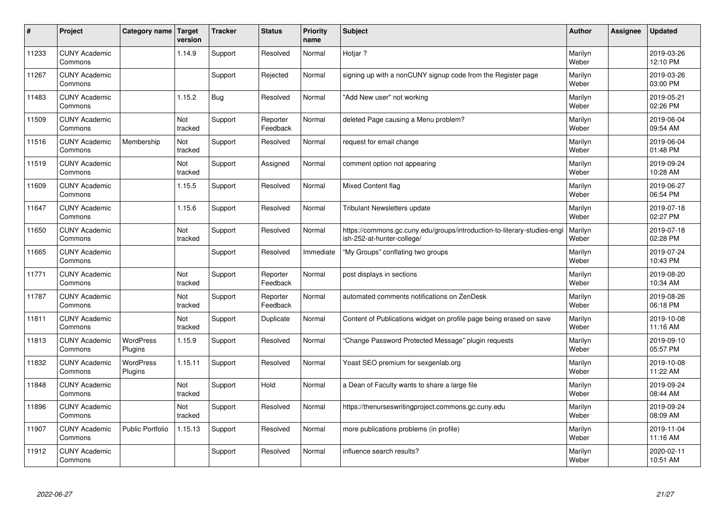| #     | Project                         | Category name               | Target<br>version | <b>Tracker</b> | <b>Status</b>        | <b>Priority</b><br>name | <b>Subject</b>                                                                                         | <b>Author</b>    | Assignee | <b>Updated</b>         |
|-------|---------------------------------|-----------------------------|-------------------|----------------|----------------------|-------------------------|--------------------------------------------------------------------------------------------------------|------------------|----------|------------------------|
| 11233 | <b>CUNY Academic</b><br>Commons |                             | 1.14.9            | Support        | Resolved             | Normal                  | Hotiar?                                                                                                | Marilyn<br>Weber |          | 2019-03-26<br>12:10 PM |
| 11267 | <b>CUNY Academic</b><br>Commons |                             |                   | Support        | Rejected             | Normal                  | signing up with a nonCUNY signup code from the Register page                                           | Marilyn<br>Weber |          | 2019-03-26<br>03:00 PM |
| 11483 | <b>CUNY Academic</b><br>Commons |                             | 1.15.2            | <b>Bug</b>     | Resolved             | Normal                  | "Add New user" not working                                                                             | Marilyn<br>Weber |          | 2019-05-21<br>02:26 PM |
| 11509 | <b>CUNY Academic</b><br>Commons |                             | Not<br>tracked    | Support        | Reporter<br>Feedback | Normal                  | deleted Page causing a Menu problem?                                                                   | Marilyn<br>Weber |          | 2019-06-04<br>09:54 AM |
| 11516 | <b>CUNY Academic</b><br>Commons | Membership                  | Not<br>tracked    | Support        | Resolved             | Normal                  | request for email change                                                                               | Marilyn<br>Weber |          | 2019-06-04<br>01:48 PM |
| 11519 | <b>CUNY Academic</b><br>Commons |                             | Not<br>tracked    | Support        | Assigned             | Normal                  | comment option not appearing                                                                           | Marilyn<br>Weber |          | 2019-09-24<br>10:28 AM |
| 11609 | <b>CUNY Academic</b><br>Commons |                             | 1.15.5            | Support        | Resolved             | Normal                  | <b>Mixed Content flag</b>                                                                              | Marilyn<br>Weber |          | 2019-06-27<br>06:54 PM |
| 11647 | <b>CUNY Academic</b><br>Commons |                             | 1.15.6            | Support        | Resolved             | Normal                  | <b>Tribulant Newsletters update</b>                                                                    | Marilyn<br>Weber |          | 2019-07-18<br>02:27 PM |
| 11650 | <b>CUNY Academic</b><br>Commons |                             | Not<br>tracked    | Support        | Resolved             | Normal                  | https://commons.gc.cuny.edu/groups/introduction-to-literary-studies-engl<br>ish-252-at-hunter-college/ | Marilyn<br>Weber |          | 2019-07-18<br>02:28 PM |
| 11665 | <b>CUNY Academic</b><br>Commons |                             |                   | Support        | Resolved             | Immediate               | "My Groups" conflating two groups                                                                      | Marilyn<br>Weber |          | 2019-07-24<br>10:43 PM |
| 11771 | <b>CUNY Academic</b><br>Commons |                             | Not<br>tracked    | Support        | Reporter<br>Feedback | Normal                  | post displays in sections                                                                              | Marilyn<br>Weber |          | 2019-08-20<br>10:34 AM |
| 11787 | <b>CUNY Academic</b><br>Commons |                             | Not<br>tracked    | Support        | Reporter<br>Feedback | Normal                  | automated comments notifications on ZenDesk                                                            | Marilyn<br>Weber |          | 2019-08-26<br>06:18 PM |
| 11811 | <b>CUNY Academic</b><br>Commons |                             | Not<br>tracked    | Support        | Duplicate            | Normal                  | Content of Publications widget on profile page being erased on save                                    | Marilyn<br>Weber |          | 2019-10-08<br>11:16 AM |
| 11813 | <b>CUNY Academic</b><br>Commons | <b>WordPress</b><br>Plugins | 1.15.9            | Support        | Resolved             | Normal                  | "Change Password Protected Message" plugin requests                                                    | Marilyn<br>Weber |          | 2019-09-10<br>05:57 PM |
| 11832 | <b>CUNY Academic</b><br>Commons | <b>WordPress</b><br>Plugins | 1.15.11           | Support        | Resolved             | Normal                  | Yoast SEO premium for sexgenlab.org                                                                    | Marilyn<br>Weber |          | 2019-10-08<br>11:22 AM |
| 11848 | <b>CUNY Academic</b><br>Commons |                             | Not<br>tracked    | Support        | Hold                 | Normal                  | a Dean of Faculty wants to share a large file                                                          | Marilyn<br>Weber |          | 2019-09-24<br>08:44 AM |
| 11896 | <b>CUNY Academic</b><br>Commons |                             | Not<br>tracked    | Support        | Resolved             | Normal                  | https://thenurseswritingproject.commons.gc.cuny.edu                                                    | Marilyn<br>Weber |          | 2019-09-24<br>08:09 AM |
| 11907 | <b>CUNY Academic</b><br>Commons | <b>Public Portfolio</b>     | 1.15.13           | Support        | Resolved             | Normal                  | more publications problems (in profile)                                                                | Marilyn<br>Weber |          | 2019-11-04<br>11:16 AM |
| 11912 | <b>CUNY Academic</b><br>Commons |                             |                   | Support        | Resolved             | Normal                  | influence search results?                                                                              | Marilyn<br>Weber |          | 2020-02-11<br>10:51 AM |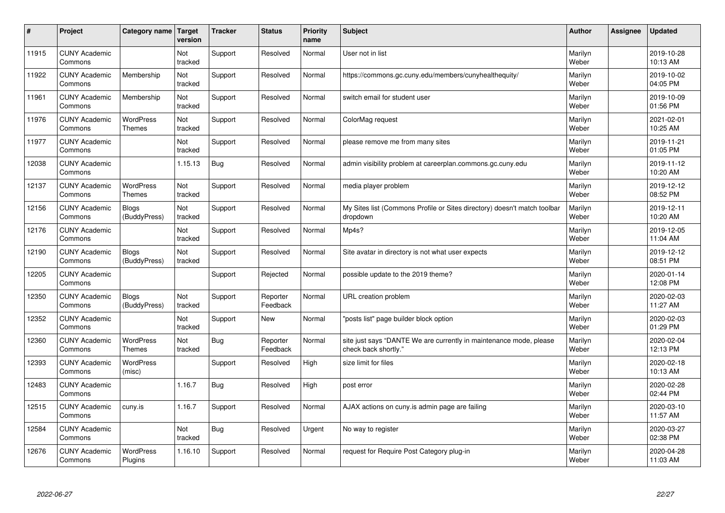| #     | Project                         | Category name                     | Target<br>version | <b>Tracker</b> | <b>Status</b>        | <b>Priority</b><br>name | <b>Subject</b>                                                                             | <b>Author</b>    | Assignee | <b>Updated</b>         |
|-------|---------------------------------|-----------------------------------|-------------------|----------------|----------------------|-------------------------|--------------------------------------------------------------------------------------------|------------------|----------|------------------------|
| 11915 | <b>CUNY Academic</b><br>Commons |                                   | Not<br>tracked    | Support        | Resolved             | Normal                  | User not in list                                                                           | Marilyn<br>Weber |          | 2019-10-28<br>10:13 AM |
| 11922 | <b>CUNY Academic</b><br>Commons | Membership                        | Not<br>tracked    | Support        | Resolved             | Normal                  | https://commons.gc.cuny.edu/members/cunyhealthequity/                                      | Marilyn<br>Weber |          | 2019-10-02<br>04:05 PM |
| 11961 | <b>CUNY Academic</b><br>Commons | Membership                        | Not<br>tracked    | Support        | Resolved             | Normal                  | switch email for student user                                                              | Marilyn<br>Weber |          | 2019-10-09<br>01:56 PM |
| 11976 | <b>CUNY Academic</b><br>Commons | <b>WordPress</b><br><b>Themes</b> | Not<br>tracked    | Support        | Resolved             | Normal                  | ColorMag request                                                                           | Marilyn<br>Weber |          | 2021-02-01<br>10:25 AM |
| 11977 | <b>CUNY Academic</b><br>Commons |                                   | Not<br>tracked    | Support        | Resolved             | Normal                  | please remove me from many sites                                                           | Marilyn<br>Weber |          | 2019-11-21<br>01:05 PM |
| 12038 | <b>CUNY Academic</b><br>Commons |                                   | 1.15.13           | <b>Bug</b>     | Resolved             | Normal                  | admin visibility problem at careerplan.commons.gc.cuny.edu                                 | Marilyn<br>Weber |          | 2019-11-12<br>10:20 AM |
| 12137 | <b>CUNY Academic</b><br>Commons | <b>WordPress</b><br>Themes        | Not<br>tracked    | Support        | Resolved             | Normal                  | media player problem                                                                       | Marilyn<br>Weber |          | 2019-12-12<br>08:52 PM |
| 12156 | <b>CUNY Academic</b><br>Commons | <b>Blogs</b><br>(BuddyPress)      | Not<br>tracked    | Support        | Resolved             | Normal                  | My Sites list (Commons Profile or Sites directory) doesn't match toolbar<br>dropdown       | Marilyn<br>Weber |          | 2019-12-11<br>10:20 AM |
| 12176 | <b>CUNY Academic</b><br>Commons |                                   | Not<br>tracked    | Support        | Resolved             | Normal                  | Mp4s?                                                                                      | Marilyn<br>Weber |          | 2019-12-05<br>11:04 AM |
| 12190 | <b>CUNY Academic</b><br>Commons | Blogs<br>(BuddyPress)             | Not<br>tracked    | Support        | Resolved             | Normal                  | Site avatar in directory is not what user expects                                          | Marilyn<br>Weber |          | 2019-12-12<br>08:51 PM |
| 12205 | <b>CUNY Academic</b><br>Commons |                                   |                   | Support        | Rejected             | Normal                  | possible update to the 2019 theme?                                                         | Marilyn<br>Weber |          | 2020-01-14<br>12:08 PM |
| 12350 | <b>CUNY Academic</b><br>Commons | <b>Blogs</b><br>(BuddyPress)      | Not<br>tracked    | Support        | Reporter<br>Feedback | Normal                  | URL creation problem                                                                       | Marilyn<br>Weber |          | 2020-02-03<br>11:27 AM |
| 12352 | <b>CUNY Academic</b><br>Commons |                                   | Not<br>tracked    | Support        | New                  | Normal                  | "posts list" page builder block option                                                     | Marilyn<br>Weber |          | 2020-02-03<br>01:29 PM |
| 12360 | <b>CUNY Academic</b><br>Commons | <b>WordPress</b><br><b>Themes</b> | Not<br>tracked    | <b>Bug</b>     | Reporter<br>Feedback | Normal                  | site just says "DANTE We are currently in maintenance mode, please<br>check back shortly." | Marilyn<br>Weber |          | 2020-02-04<br>12:13 PM |
| 12393 | <b>CUNY Academic</b><br>Commons | <b>WordPress</b><br>(misc)        |                   | Support        | Resolved             | High                    | size limit for files                                                                       | Marilyn<br>Weber |          | 2020-02-18<br>10:13 AM |
| 12483 | <b>CUNY Academic</b><br>Commons |                                   | 1.16.7            | Bug            | Resolved             | High                    | post error                                                                                 | Marilyn<br>Weber |          | 2020-02-28<br>02:44 PM |
| 12515 | <b>CUNY Academic</b><br>Commons | cuny.is                           | 1.16.7            | Support        | Resolved             | Normal                  | AJAX actions on cuny is admin page are failing                                             | Marilyn<br>Weber |          | 2020-03-10<br>11:57 AM |
| 12584 | <b>CUNY Academic</b><br>Commons |                                   | Not<br>tracked    | <b>Bug</b>     | Resolved             | Urgent                  | No way to register                                                                         | Marilyn<br>Weber |          | 2020-03-27<br>02:38 PM |
| 12676 | <b>CUNY Academic</b><br>Commons | <b>WordPress</b><br>Plugins       | 1.16.10           | Support        | Resolved             | Normal                  | request for Require Post Category plug-in                                                  | Marilyn<br>Weber |          | 2020-04-28<br>11:03 AM |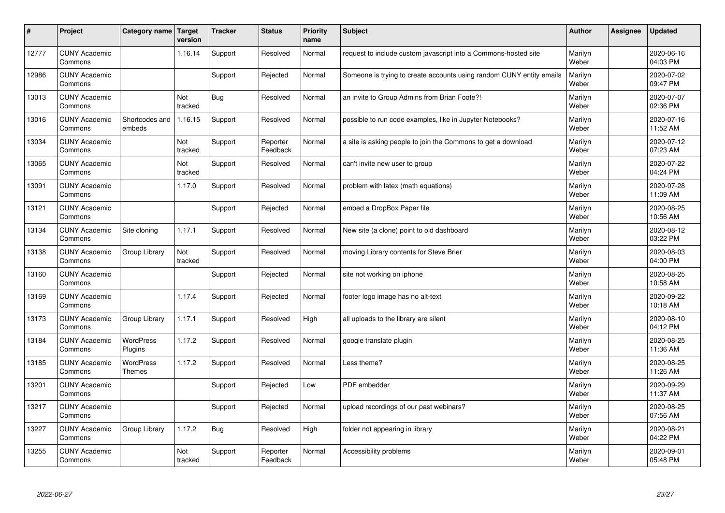| $\sharp$ | Project                         | Category name               | Target<br>version | <b>Tracker</b> | <b>Status</b>        | <b>Priority</b><br>name | <b>Subject</b>                                                       | <b>Author</b>    | Assignee | <b>Updated</b>         |
|----------|---------------------------------|-----------------------------|-------------------|----------------|----------------------|-------------------------|----------------------------------------------------------------------|------------------|----------|------------------------|
| 12777    | <b>CUNY Academic</b><br>Commons |                             | 1.16.14           | Support        | Resolved             | Normal                  | request to include custom javascript into a Commons-hosted site      | Marilyn<br>Weber |          | 2020-06-16<br>04:03 PM |
| 12986    | <b>CUNY Academic</b><br>Commons |                             |                   | Support        | Rejected             | Normal                  | Someone is trying to create accounts using random CUNY entity emails | Marilyn<br>Weber |          | 2020-07-02<br>09:47 PM |
| 13013    | <b>CUNY Academic</b><br>Commons |                             | Not<br>tracked    | <b>Bug</b>     | Resolved             | Normal                  | an invite to Group Admins from Brian Foote?!                         | Marilyn<br>Weber |          | 2020-07-07<br>02:36 PM |
| 13016    | <b>CUNY Academic</b><br>Commons | Shortcodes and<br>embeds    | 1.16.15           | Support        | Resolved             | Normal                  | possible to run code examples, like in Jupyter Notebooks?            | Marilyn<br>Weber |          | 2020-07-16<br>11:52 AM |
| 13034    | <b>CUNY Academic</b><br>Commons |                             | Not<br>tracked    | Support        | Reporter<br>Feedback | Normal                  | a site is asking people to join the Commons to get a download        | Marilyn<br>Weber |          | 2020-07-12<br>07:23 AM |
| 13065    | <b>CUNY Academic</b><br>Commons |                             | Not<br>tracked    | Support        | Resolved             | Normal                  | can't invite new user to group                                       | Marilyn<br>Weber |          | 2020-07-22<br>04:24 PM |
| 13091    | <b>CUNY Academic</b><br>Commons |                             | 1.17.0            | Support        | Resolved             | Normal                  | problem with latex (math equations)                                  | Marilyn<br>Weber |          | 2020-07-28<br>11:09 AM |
| 13121    | <b>CUNY Academic</b><br>Commons |                             |                   | Support        | Rejected             | Normal                  | embed a DropBox Paper file                                           | Marilyn<br>Weber |          | 2020-08-25<br>10:56 AM |
| 13134    | <b>CUNY Academic</b><br>Commons | Site cloning                | 1.17.1            | Support        | Resolved             | Normal                  | New site (a clone) point to old dashboard                            | Marilyn<br>Weber |          | 2020-08-12<br>03:22 PM |
| 13138    | <b>CUNY Academic</b><br>Commons | Group Library               | Not<br>tracked    | Support        | Resolved             | Normal                  | moving Library contents for Steve Brier                              | Marilyn<br>Weber |          | 2020-08-03<br>04:00 PM |
| 13160    | <b>CUNY Academic</b><br>Commons |                             |                   | Support        | Rejected             | Normal                  | site not working on iphone                                           | Marilyn<br>Weber |          | 2020-08-25<br>10:58 AM |
| 13169    | <b>CUNY Academic</b><br>Commons |                             | 1.17.4            | Support        | Rejected             | Normal                  | footer logo image has no alt-text                                    | Marilyn<br>Weber |          | 2020-09-22<br>10:18 AM |
| 13173    | <b>CUNY Academic</b><br>Commons | Group Library               | 1.17.1            | Support        | Resolved             | High                    | all uploads to the library are silent                                | Marilyn<br>Weber |          | 2020-08-10<br>04:12 PM |
| 13184    | <b>CUNY Academic</b><br>Commons | <b>WordPress</b><br>Plugins | 1.17.2            | Support        | Resolved             | Normal                  | google translate plugin                                              | Marilyn<br>Weber |          | 2020-08-25<br>11:36 AM |
| 13185    | <b>CUNY Academic</b><br>Commons | <b>WordPress</b><br>Themes  | 1.17.2            | Support        | Resolved             | Normal                  | Less theme?                                                          | Marilyn<br>Weber |          | 2020-08-25<br>11:26 AM |
| 13201    | <b>CUNY Academic</b><br>Commons |                             |                   | Support        | Rejected             | Low                     | PDF embedder                                                         | Marilyn<br>Weber |          | 2020-09-29<br>11:37 AM |
| 13217    | <b>CUNY Academic</b><br>Commons |                             |                   | Support        | Rejected             | Normal                  | upload recordings of our past webinars?                              | Marilyn<br>Weber |          | 2020-08-25<br>07:56 AM |
| 13227    | <b>CUNY Academic</b><br>Commons | Group Library               | 1.17.2            | <b>Bug</b>     | Resolved             | High                    | folder not appearing in library                                      | Marilyn<br>Weber |          | 2020-08-21<br>04:22 PM |
| 13255    | <b>CUNY Academic</b><br>Commons |                             | Not<br>tracked    | Support        | Reporter<br>Feedback | Normal                  | Accessibility problems                                               | Marilyn<br>Weber |          | 2020-09-01<br>05:48 PM |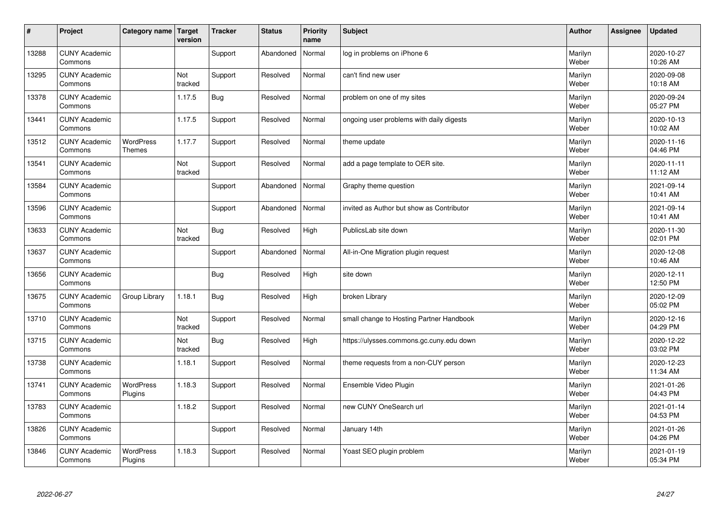| $\sharp$ | Project                         | Category name   Target      | version        | <b>Tracker</b> | <b>Status</b> | <b>Priority</b><br>name | <b>Subject</b>                            | <b>Author</b>    | Assignee | <b>Updated</b>         |
|----------|---------------------------------|-----------------------------|----------------|----------------|---------------|-------------------------|-------------------------------------------|------------------|----------|------------------------|
| 13288    | <b>CUNY Academic</b><br>Commons |                             |                | Support        | Abandoned     | Normal                  | log in problems on iPhone 6               | Marilyn<br>Weber |          | 2020-10-27<br>10:26 AM |
| 13295    | <b>CUNY Academic</b><br>Commons |                             | Not<br>tracked | Support        | Resolved      | Normal                  | can't find new user                       | Marilyn<br>Weber |          | 2020-09-08<br>10:18 AM |
| 13378    | <b>CUNY Academic</b><br>Commons |                             | 1.17.5         | <b>Bug</b>     | Resolved      | Normal                  | problem on one of my sites                | Marilyn<br>Weber |          | 2020-09-24<br>05:27 PM |
| 13441    | <b>CUNY Academic</b><br>Commons |                             | 1.17.5         | Support        | Resolved      | Normal                  | ongoing user problems with daily digests  | Marilyn<br>Weber |          | 2020-10-13<br>10:02 AM |
| 13512    | <b>CUNY Academic</b><br>Commons | <b>WordPress</b><br>Themes  | 1.17.7         | Support        | Resolved      | Normal                  | theme update                              | Marilyn<br>Weber |          | 2020-11-16<br>04:46 PM |
| 13541    | <b>CUNY Academic</b><br>Commons |                             | Not<br>tracked | Support        | Resolved      | Normal                  | add a page template to OER site.          | Marilyn<br>Weber |          | 2020-11-11<br>11:12 AM |
| 13584    | <b>CUNY Academic</b><br>Commons |                             |                | Support        | Abandoned     | Normal                  | Graphy theme question                     | Marilyn<br>Weber |          | 2021-09-14<br>10:41 AM |
| 13596    | <b>CUNY Academic</b><br>Commons |                             |                | Support        | Abandoned     | Normal                  | invited as Author but show as Contributor | Marilyn<br>Weber |          | 2021-09-14<br>10:41 AM |
| 13633    | <b>CUNY Academic</b><br>Commons |                             | Not<br>tracked | <b>Bug</b>     | Resolved      | High                    | PublicsLab site down                      | Marilyn<br>Weber |          | 2020-11-30<br>02:01 PM |
| 13637    | <b>CUNY Academic</b><br>Commons |                             |                | Support        | Abandoned     | Normal                  | All-in-One Migration plugin request       | Marilyn<br>Weber |          | 2020-12-08<br>10:46 AM |
| 13656    | <b>CUNY Academic</b><br>Commons |                             |                | <b>Bug</b>     | Resolved      | High                    | site down                                 | Marilyn<br>Weber |          | 2020-12-11<br>12:50 PM |
| 13675    | <b>CUNY Academic</b><br>Commons | Group Library               | 1.18.1         | <b>Bug</b>     | Resolved      | High                    | broken Library                            | Marilyn<br>Weber |          | 2020-12-09<br>05:02 PM |
| 13710    | <b>CUNY Academic</b><br>Commons |                             | Not<br>tracked | Support        | Resolved      | Normal                  | small change to Hosting Partner Handbook  | Marilyn<br>Weber |          | 2020-12-16<br>04:29 PM |
| 13715    | <b>CUNY Academic</b><br>Commons |                             | Not<br>tracked | <b>Bug</b>     | Resolved      | High                    | https://ulysses.commons.gc.cuny.edu down  | Marilyn<br>Weber |          | 2020-12-22<br>03:02 PM |
| 13738    | <b>CUNY Academic</b><br>Commons |                             | 1.18.1         | Support        | Resolved      | Normal                  | theme requests from a non-CUY person      | Marilyn<br>Weber |          | 2020-12-23<br>11:34 AM |
| 13741    | <b>CUNY Academic</b><br>Commons | <b>WordPress</b><br>Plugins | 1.18.3         | Support        | Resolved      | Normal                  | Ensemble Video Plugin                     | Marilyn<br>Weber |          | 2021-01-26<br>04:43 PM |
| 13783    | <b>CUNY Academic</b><br>Commons |                             | 1.18.2         | Support        | Resolved      | Normal                  | new CUNY OneSearch url                    | Marilyn<br>Weber |          | 2021-01-14<br>04:53 PM |
| 13826    | <b>CUNY Academic</b><br>Commons |                             |                | Support        | Resolved      | Normal                  | January 14th                              | Marilyn<br>Weber |          | 2021-01-26<br>04:26 PM |
| 13846    | <b>CUNY Academic</b><br>Commons | <b>WordPress</b><br>Plugins | 1.18.3         | Support        | Resolved      | Normal                  | Yoast SEO plugin problem                  | Marilyn<br>Weber |          | 2021-01-19<br>05:34 PM |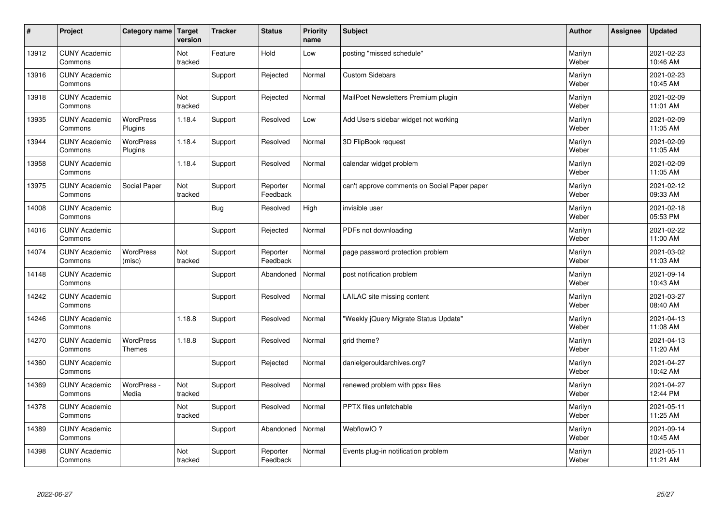| $\sharp$ | Project                         | Category name   Target      | version        | <b>Tracker</b> | <b>Status</b>        | <b>Priority</b><br>name | <b>Subject</b>                               | <b>Author</b>    | Assignee | <b>Updated</b>         |
|----------|---------------------------------|-----------------------------|----------------|----------------|----------------------|-------------------------|----------------------------------------------|------------------|----------|------------------------|
| 13912    | <b>CUNY Academic</b><br>Commons |                             | Not<br>tracked | Feature        | Hold                 | Low                     | posting "missed schedule"                    | Marilyn<br>Weber |          | 2021-02-23<br>10:46 AM |
| 13916    | <b>CUNY Academic</b><br>Commons |                             |                | Support        | Rejected             | Normal                  | <b>Custom Sidebars</b>                       | Marilyn<br>Weber |          | 2021-02-23<br>10:45 AM |
| 13918    | <b>CUNY Academic</b><br>Commons |                             | Not<br>tracked | Support        | Rejected             | Normal                  | MailPoet Newsletters Premium plugin          | Marilyn<br>Weber |          | 2021-02-09<br>11:01 AM |
| 13935    | <b>CUNY Academic</b><br>Commons | <b>WordPress</b><br>Plugins | 1.18.4         | Support        | Resolved             | Low                     | Add Users sidebar widget not working         | Marilyn<br>Weber |          | 2021-02-09<br>11:05 AM |
| 13944    | <b>CUNY Academic</b><br>Commons | <b>WordPress</b><br>Plugins | 1.18.4         | Support        | Resolved             | Normal                  | 3D FlipBook request                          | Marilyn<br>Weber |          | 2021-02-09<br>11:05 AM |
| 13958    | <b>CUNY Academic</b><br>Commons |                             | 1.18.4         | Support        | Resolved             | Normal                  | calendar widget problem                      | Marilyn<br>Weber |          | 2021-02-09<br>11:05 AM |
| 13975    | <b>CUNY Academic</b><br>Commons | Social Paper                | Not<br>tracked | Support        | Reporter<br>Feedback | Normal                  | can't approve comments on Social Paper paper | Marilyn<br>Weber |          | 2021-02-12<br>09:33 AM |
| 14008    | <b>CUNY Academic</b><br>Commons |                             |                | <b>Bug</b>     | Resolved             | High                    | invisible user                               | Marilyn<br>Weber |          | 2021-02-18<br>05:53 PM |
| 14016    | <b>CUNY Academic</b><br>Commons |                             |                | Support        | Rejected             | Normal                  | PDFs not downloading                         | Marilyn<br>Weber |          | 2021-02-22<br>11:00 AM |
| 14074    | <b>CUNY Academic</b><br>Commons | <b>WordPress</b><br>(misc)  | Not<br>tracked | Support        | Reporter<br>Feedback | Normal                  | page password protection problem             | Marilyn<br>Weber |          | 2021-03-02<br>11:03 AM |
| 14148    | <b>CUNY Academic</b><br>Commons |                             |                | Support        | Abandoned            | Normal                  | post notification problem                    | Marilyn<br>Weber |          | 2021-09-14<br>10:43 AM |
| 14242    | <b>CUNY Academic</b><br>Commons |                             |                | Support        | Resolved             | Normal                  | LAILAC site missing content                  | Marilyn<br>Weber |          | 2021-03-27<br>08:40 AM |
| 14246    | <b>CUNY Academic</b><br>Commons |                             | 1.18.8         | Support        | Resolved             | Normal                  | 'Weekly jQuery Migrate Status Update"        | Marilyn<br>Weber |          | 2021-04-13<br>11:08 AM |
| 14270    | <b>CUNY Academic</b><br>Commons | <b>WordPress</b><br>Themes  | 1.18.8         | Support        | Resolved             | Normal                  | grid theme?                                  | Marilyn<br>Weber |          | 2021-04-13<br>11:20 AM |
| 14360    | <b>CUNY Academic</b><br>Commons |                             |                | Support        | Rejected             | Normal                  | danielgerouldarchives.org?                   | Marilyn<br>Weber |          | 2021-04-27<br>10:42 AM |
| 14369    | <b>CUNY Academic</b><br>Commons | WordPress -<br>Media        | Not<br>tracked | Support        | Resolved             | Normal                  | renewed problem with ppsx files              | Marilyn<br>Weber |          | 2021-04-27<br>12:44 PM |
| 14378    | <b>CUNY Academic</b><br>Commons |                             | Not<br>tracked | Support        | Resolved             | Normal                  | <b>PPTX</b> files unfetchable                | Marilyn<br>Weber |          | 2021-05-11<br>11:25 AM |
| 14389    | <b>CUNY Academic</b><br>Commons |                             |                | Support        | Abandoned            | Normal                  | WebflowIO?                                   | Marilyn<br>Weber |          | 2021-09-14<br>10:45 AM |
| 14398    | <b>CUNY Academic</b><br>Commons |                             | Not<br>tracked | Support        | Reporter<br>Feedback | Normal                  | Events plug-in notification problem          | Marilyn<br>Weber |          | 2021-05-11<br>11:21 AM |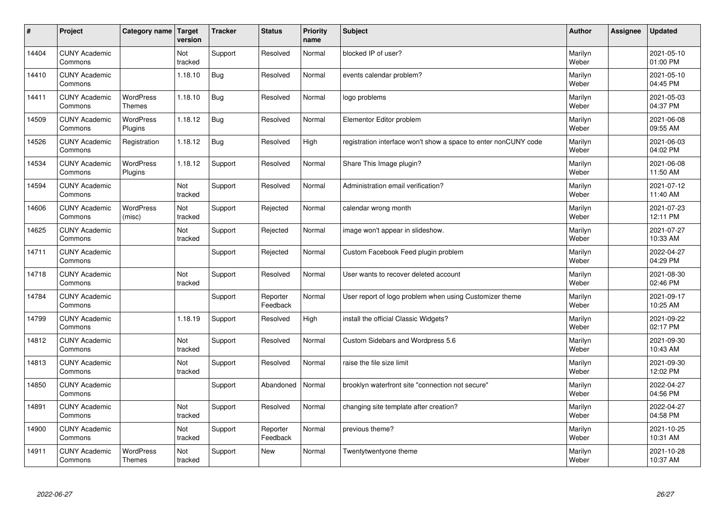| $\vert$ # | Project                         | Category name   Target      | version        | <b>Tracker</b> | <b>Status</b>        | <b>Priority</b><br>name | <b>Subject</b>                                                  | <b>Author</b>    | <b>Assignee</b> | <b>Updated</b>         |
|-----------|---------------------------------|-----------------------------|----------------|----------------|----------------------|-------------------------|-----------------------------------------------------------------|------------------|-----------------|------------------------|
| 14404     | <b>CUNY Academic</b><br>Commons |                             | Not<br>tracked | Support        | Resolved             | Normal                  | blocked IP of user?                                             | Marilyn<br>Weber |                 | 2021-05-10<br>01:00 PM |
| 14410     | <b>CUNY Academic</b><br>Commons |                             | 1.18.10        | <b>Bug</b>     | Resolved             | Normal                  | events calendar problem?                                        | Marilyn<br>Weber |                 | 2021-05-10<br>04:45 PM |
| 14411     | <b>CUNY Academic</b><br>Commons | <b>WordPress</b><br>Themes  | 1.18.10        | <b>Bug</b>     | Resolved             | Normal                  | logo problems                                                   | Marilyn<br>Weber |                 | 2021-05-03<br>04:37 PM |
| 14509     | <b>CUNY Academic</b><br>Commons | <b>WordPress</b><br>Plugins | 1.18.12        | <b>Bug</b>     | Resolved             | Normal                  | Elementor Editor problem                                        | Marilyn<br>Weber |                 | 2021-06-08<br>09:55 AM |
| 14526     | <b>CUNY Academic</b><br>Commons | Registration                | 1.18.12        | <b>Bug</b>     | Resolved             | High                    | registration interface won't show a space to enter nonCUNY code | Marilyn<br>Weber |                 | 2021-06-03<br>04:02 PM |
| 14534     | <b>CUNY Academic</b><br>Commons | <b>WordPress</b><br>Plugins | 1.18.12        | Support        | Resolved             | Normal                  | Share This Image plugin?                                        | Marilyn<br>Weber |                 | 2021-06-08<br>11:50 AM |
| 14594     | <b>CUNY Academic</b><br>Commons |                             | Not<br>tracked | Support        | Resolved             | Normal                  | Administration email verification?                              | Marilyn<br>Weber |                 | 2021-07-12<br>11:40 AM |
| 14606     | <b>CUNY Academic</b><br>Commons | WordPress<br>(misc)         | Not<br>tracked | Support        | Rejected             | Normal                  | calendar wrong month                                            | Marilyn<br>Weber |                 | 2021-07-23<br>12:11 PM |
| 14625     | <b>CUNY Academic</b><br>Commons |                             | Not<br>tracked | Support        | Rejected             | Normal                  | image won't appear in slideshow.                                | Marilyn<br>Weber |                 | 2021-07-27<br>10:33 AM |
| 14711     | <b>CUNY Academic</b><br>Commons |                             |                | Support        | Rejected             | Normal                  | Custom Facebook Feed plugin problem                             | Marilyn<br>Weber |                 | 2022-04-27<br>04:29 PM |
| 14718     | <b>CUNY Academic</b><br>Commons |                             | Not<br>tracked | Support        | Resolved             | Normal                  | User wants to recover deleted account                           | Marilyn<br>Weber |                 | 2021-08-30<br>02:46 PM |
| 14784     | <b>CUNY Academic</b><br>Commons |                             |                | Support        | Reporter<br>Feedback | Normal                  | User report of logo problem when using Customizer theme         | Marilyn<br>Weber |                 | 2021-09-17<br>10:25 AM |
| 14799     | <b>CUNY Academic</b><br>Commons |                             | 1.18.19        | Support        | Resolved             | High                    | install the official Classic Widgets?                           | Marilyn<br>Weber |                 | 2021-09-22<br>02:17 PM |
| 14812     | <b>CUNY Academic</b><br>Commons |                             | Not<br>tracked | Support        | Resolved             | Normal                  | Custom Sidebars and Wordpress 5.6                               | Marilyn<br>Weber |                 | 2021-09-30<br>10:43 AM |
| 14813     | <b>CUNY Academic</b><br>Commons |                             | Not<br>tracked | Support        | Resolved             | Normal                  | raise the file size limit                                       | Marilyn<br>Weber |                 | 2021-09-30<br>12:02 PM |
| 14850     | <b>CUNY Academic</b><br>Commons |                             |                | Support        | Abandoned            | Normal                  | brooklyn waterfront site "connection not secure"                | Marilyn<br>Weber |                 | 2022-04-27<br>04:56 PM |
| 14891     | <b>CUNY Academic</b><br>Commons |                             | Not<br>tracked | Support        | Resolved             | Normal                  | changing site template after creation?                          | Marilyn<br>Weber |                 | 2022-04-27<br>04:58 PM |
| 14900     | <b>CUNY Academic</b><br>Commons |                             | Not<br>tracked | Support        | Reporter<br>Feedback | Normal                  | previous theme?                                                 | Marilyn<br>Weber |                 | 2021-10-25<br>10:31 AM |
| 14911     | <b>CUNY Academic</b><br>Commons | <b>WordPress</b><br>Themes  | Not<br>tracked | Support        | <b>New</b>           | Normal                  | Twentytwentyone theme                                           | Marilyn<br>Weber |                 | 2021-10-28<br>10:37 AM |